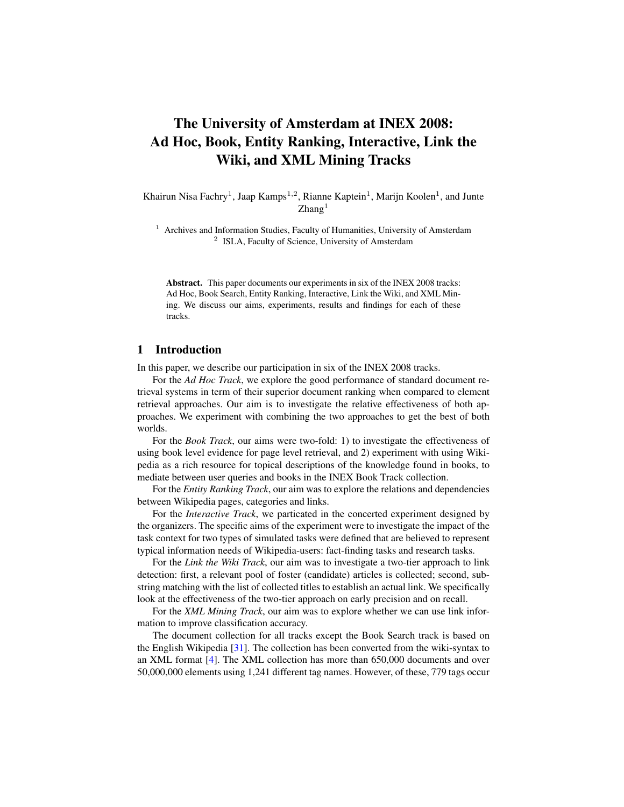# The University of Amsterdam at INEX 2008: Ad Hoc, Book, Entity Ranking, Interactive, Link the Wiki, and XML Mining Tracks

Khairun Nisa Fachry<sup>1</sup>, Jaap Kamps<sup>1,2</sup>, Rianne Kaptein<sup>1</sup>, Marijn Koolen<sup>1</sup>, and Junte  $Z$ hang $<sup>1</sup>$ </sup>

<sup>1</sup> Archives and Information Studies, Faculty of Humanities, University of Amsterdam <sup>2</sup> ISLA, Faculty of Science, University of Amsterdam

Abstract. This paper documents our experiments in six of the INEX 2008 tracks: Ad Hoc, Book Search, Entity Ranking, Interactive, Link the Wiki, and XML Mining. We discuss our aims, experiments, results and findings for each of these tracks.

# 1 Introduction

In this paper, we describe our participation in six of the INEX 2008 tracks.

For the *Ad Hoc Track*, we explore the good performance of standard document retrieval systems in term of their superior document ranking when compared to element retrieval approaches. Our aim is to investigate the relative effectiveness of both approaches. We experiment with combining the two approaches to get the best of both worlds.

For the *Book Track*, our aims were two-fold: 1) to investigate the effectiveness of using book level evidence for page level retrieval, and 2) experiment with using Wikipedia as a rich resource for topical descriptions of the knowledge found in books, to mediate between user queries and books in the INEX Book Track collection.

For the *Entity Ranking Track*, our aim was to explore the relations and dependencies between Wikipedia pages, categories and links.

For the *Interactive Track*, we particated in the concerted experiment designed by the organizers. The specific aims of the experiment were to investigate the impact of the task context for two types of simulated tasks were defined that are believed to represent typical information needs of Wikipedia-users: fact-finding tasks and research tasks.

For the *Link the Wiki Track*, our aim was to investigate a two-tier approach to link detection: first, a relevant pool of foster (candidate) articles is collected; second, substring matching with the list of collected titles to establish an actual link. We specifically look at the effectiveness of the two-tier approach on early precision and on recall.

For the *XML Mining Track*, our aim was to explore whether we can use link information to improve classification accuracy.

The document collection for all tracks except the Book Search track is based on the English Wikipedia [\[31\]](#page-25-0). The collection has been converted from the wiki-syntax to an XML format [\[4\]](#page-24-0). The XML collection has more than 650,000 documents and over 50,000,000 elements using 1,241 different tag names. However, of these, 779 tags occur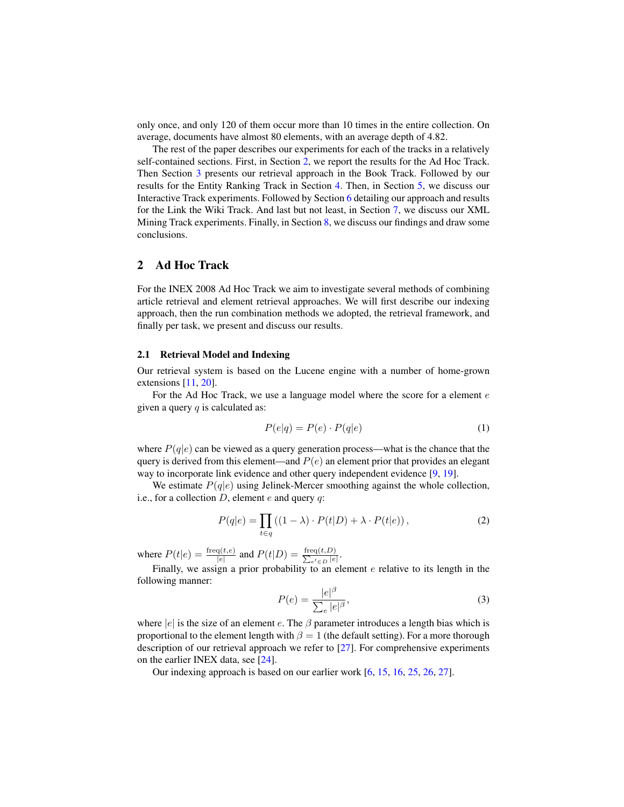only once, and only 120 of them occur more than 10 times in the entire collection. On average, documents have almost 80 elements, with an average depth of 4.82.

The rest of the paper describes our experiments for each of the tracks in a relatively self-contained sections. First, in Section [2,](#page-1-0) we report the results for the Ad Hoc Track. Then Section [3](#page-6-0) presents our retrieval approach in the Book Track. Followed by our results for the Entity Ranking Track in Section [4.](#page-8-0) Then, in Section [5,](#page-13-0) we discuss our Interactive Track experiments. Followed by Section [6](#page-15-0) detailing our approach and results for the Link the Wiki Track. And last but not least, in Section [7,](#page-19-0) we discuss our XML Mining Track experiments. Finally, in Section [8,](#page-22-0) we discuss our findings and draw some conclusions.

# <span id="page-1-0"></span>2 Ad Hoc Track

For the INEX 2008 Ad Hoc Track we aim to investigate several methods of combining article retrieval and element retrieval approaches. We will first describe our indexing approach, then the run combination methods we adopted, the retrieval framework, and finally per task, we present and discuss our results.

## 2.1 Retrieval Model and Indexing

Our retrieval system is based on the Lucene engine with a number of home-grown extensions [\[11,](#page-24-1) [20\]](#page-25-1).

For the Ad Hoc Track, we use a language model where the score for a element e given a query  $q$  is calculated as:

$$
P(e|q) = P(e) \cdot P(q|e)
$$
\n<sup>(1)</sup>

where  $P(q|e)$  can be viewed as a query generation process—what is the chance that the query is derived from this element—and  $P(e)$  an element prior that provides an elegant way to incorporate link evidence and other query independent evidence [\[9,](#page-24-2) [19\]](#page-25-2).

We estimate  $P(q|e)$  using Jelinek-Mercer smoothing against the whole collection, i.e., for a collection  $D$ , element  $e$  and query  $q$ :

$$
P(q|e) = \prod_{t \in q} ((1 - \lambda) \cdot P(t|D) + \lambda \cdot P(t|e)), \qquad (2)
$$

where  $P(t|e) = \frac{\text{freq}(t,e)}{|e|}$  and  $P(t|D) = \frac{\text{freq}(t,D)}{\sum_{e \in E} |e|}$  $\frac{\operatorname{eq}(t,D)}{e'\in D}$ .

Finally, we assign a prior probability to an element  $e$  relative to its length in the following manner:

$$
P(e) = \frac{|e|^{\beta}}{\sum_{e} |e|^{\beta}},\tag{3}
$$

where |e| is the size of an element e. The  $\beta$  parameter introduces a length bias which is proportional to the element length with  $\beta = 1$  (the default setting). For a more thorough description of our retrieval approach we refer to [\[27\]](#page-25-3). For comprehensive experiments on the earlier INEX data, see [\[24\]](#page-25-4).

Our indexing approach is based on our earlier work [\[6,](#page-24-3) [15,](#page-25-5) [16,](#page-25-6) [25,](#page-25-7) [26,](#page-25-8) [27\]](#page-25-3).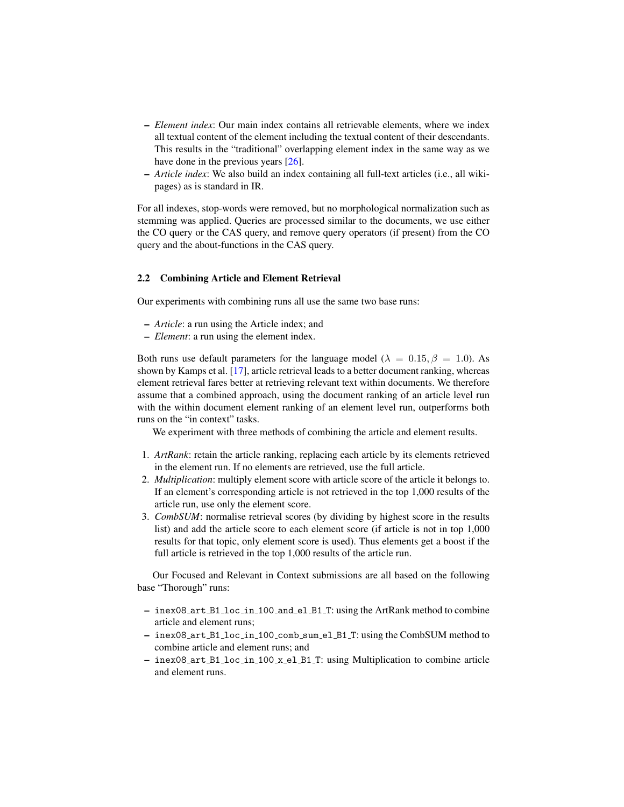- *Element index*: Our main index contains all retrievable elements, where we index all textual content of the element including the textual content of their descendants. This results in the "traditional" overlapping element index in the same way as we have done in the previous years [\[26\]](#page-25-8).
- *Article index*: We also build an index containing all full-text articles (i.e., all wikipages) as is standard in IR.

For all indexes, stop-words were removed, but no morphological normalization such as stemming was applied. Queries are processed similar to the documents, we use either the CO query or the CAS query, and remove query operators (if present) from the CO query and the about-functions in the CAS query.

#### 2.2 Combining Article and Element Retrieval

Our experiments with combining runs all use the same two base runs:

- *Article*: a run using the Article index; and
- *Element*: a run using the element index.

Both runs use default parameters for the language model ( $\lambda = 0.15, \beta = 1.0$ ). As shown by Kamps et al. [\[17\]](#page-25-9), article retrieval leads to a better document ranking, whereas element retrieval fares better at retrieving relevant text within documents. We therefore assume that a combined approach, using the document ranking of an article level run with the within document element ranking of an element level run, outperforms both runs on the "in context" tasks.

We experiment with three methods of combining the article and element results.

- 1. *ArtRank*: retain the article ranking, replacing each article by its elements retrieved in the element run. If no elements are retrieved, use the full article.
- 2. *Multiplication*: multiply element score with article score of the article it belongs to. If an element's corresponding article is not retrieved in the top 1,000 results of the article run, use only the element score.
- 3. *CombSUM*: normalise retrieval scores (by dividing by highest score in the results list) and add the article score to each element score (if article is not in top 1,000 results for that topic, only element score is used). Thus elements get a boost if the full article is retrieved in the top 1,000 results of the article run.

Our Focused and Relevant in Context submissions are all based on the following base "Thorough" runs:

- inex08 art B1 loc in 100 and el B1 T: using the ArtRank method to combine article and element runs;
- inex08 art B1 loc in 100 comb sum el B1 T: using the CombSUM method to combine article and element runs; and
- inex08 art B1 loc in 100 x el B1 T: using Multiplication to combine article and element runs.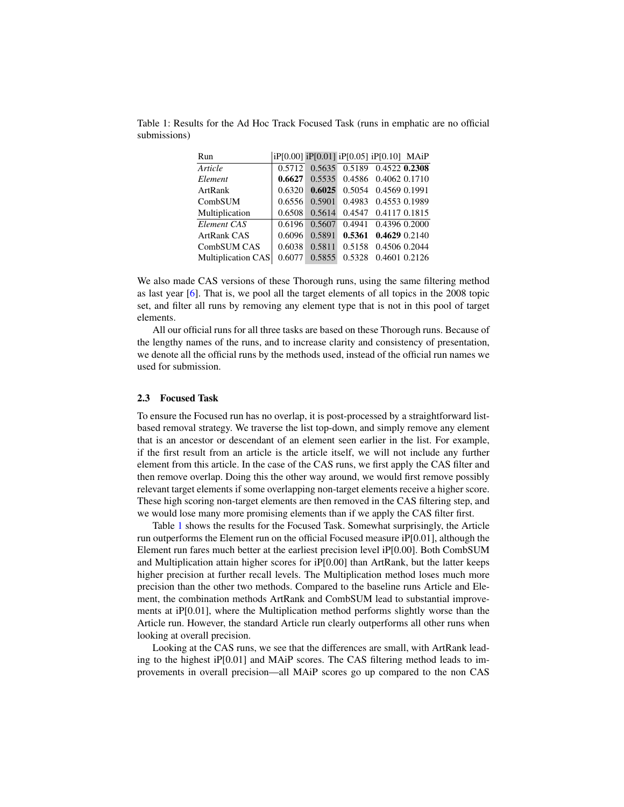| 0.6038 |        |                                                                              |                                                          |                                                                                                                                                                                                                                                                                           |
|--------|--------|------------------------------------------------------------------------------|----------------------------------------------------------|-------------------------------------------------------------------------------------------------------------------------------------------------------------------------------------------------------------------------------------------------------------------------------------------|
|        | 0.5855 |                                                                              |                                                          |                                                                                                                                                                                                                                                                                           |
|        |        | 0.5712<br>0.6627<br>0.6320<br>0.6556<br>0.6508<br>0.6196<br>0.6096<br>0.6077 | 0.5535<br>0.5901<br>0.5614<br>0.5607<br>0.5891<br>0.5811 | iP[0.00] iP[0.01] iP[0.05] iP[0.10] MAiP<br>0.5635 0.5189 0.4522 0.2308<br>0.4586 0.4062 0.1710<br>$0.6025$ 0.5054 0.4569 0.1991<br>0.4983 0.4553 0.1989<br>0.4547 0.4117 0.1815<br>0.4941 0.4396 0.2000<br>0.4629 0.2140<br>0.5361<br>0.4506 0.2044<br>0.5158<br>0.4601 0.2126<br>0.5328 |

<span id="page-3-0"></span>Table 1: Results for the Ad Hoc Track Focused Task (runs in emphatic are no official submissions)

We also made CAS versions of these Thorough runs, using the same filtering method as last year [\[6\]](#page-24-3). That is, we pool all the target elements of all topics in the 2008 topic set, and filter all runs by removing any element type that is not in this pool of target elements.

All our official runs for all three tasks are based on these Thorough runs. Because of the lengthy names of the runs, and to increase clarity and consistency of presentation, we denote all the official runs by the methods used, instead of the official run names we used for submission.

#### 2.3 Focused Task

To ensure the Focused run has no overlap, it is post-processed by a straightforward listbased removal strategy. We traverse the list top-down, and simply remove any element that is an ancestor or descendant of an element seen earlier in the list. For example, if the first result from an article is the article itself, we will not include any further element from this article. In the case of the CAS runs, we first apply the CAS filter and then remove overlap. Doing this the other way around, we would first remove possibly relevant target elements if some overlapping non-target elements receive a higher score. These high scoring non-target elements are then removed in the CAS filtering step, and we would lose many more promising elements than if we apply the CAS filter first.

Table [1](#page-3-0) shows the results for the Focused Task. Somewhat surprisingly, the Article run outperforms the Element run on the official Focused measure iP[0.01], although the Element run fares much better at the earliest precision level iP[0.00]. Both CombSUM and Multiplication attain higher scores for iP[0.00] than ArtRank, but the latter keeps higher precision at further recall levels. The Multiplication method loses much more precision than the other two methods. Compared to the baseline runs Article and Element, the combination methods ArtRank and CombSUM lead to substantial improvements at iP[0.01], where the Multiplication method performs slightly worse than the Article run. However, the standard Article run clearly outperforms all other runs when looking at overall precision.

Looking at the CAS runs, we see that the differences are small, with ArtRank leading to the highest iP[0.01] and MAiP scores. The CAS filtering method leads to improvements in overall precision—all MAiP scores go up compared to the non CAS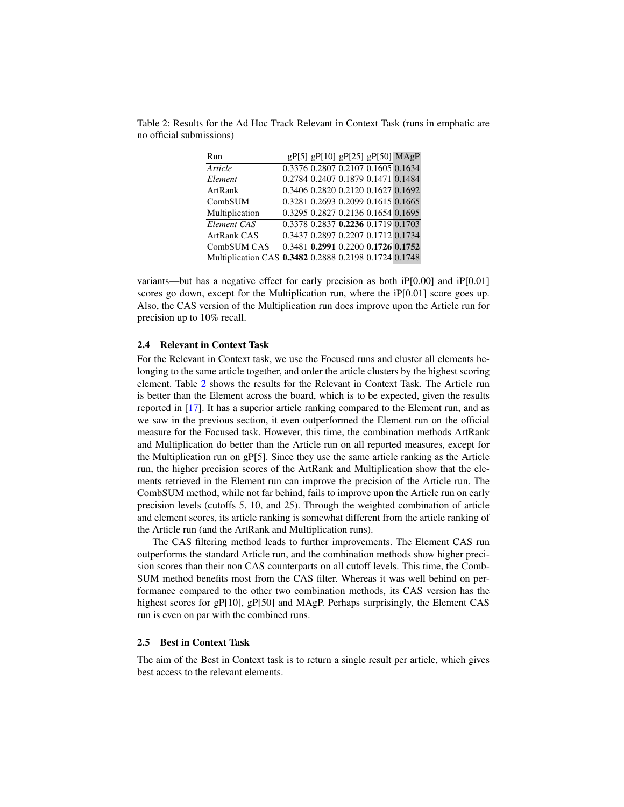| Run                                                   |  | $gP[5]$ $gP[10]$ $gP[25]$ $gP[50]$ MAgP |  |
|-------------------------------------------------------|--|-----------------------------------------|--|
| Article                                               |  | 0.3376 0.2807 0.2107 0.1605 0.1634      |  |
| Element                                               |  | 0.2784 0.2407 0.1879 0.1471 0.1484      |  |
| ArtRank                                               |  | 0.3406 0.2820 0.2120 0.1627 0.1692      |  |
| CombSUM                                               |  | 0.3281 0.2693 0.2099 0.1615 0.1665      |  |
| Multiplication                                        |  | 0.3295 0.2827 0.2136 0.1654 0.1695      |  |
| Element CAS                                           |  | 0.3378 0.2837 0.2236 0.1719 0.1703      |  |
| ArtRank CAS                                           |  | 0.3437 0.2897 0.2207 0.1712 0.1734      |  |
| CombSUM CAS                                           |  | $0.3481$ 0.2991 0.2200 0.1726 0.1752    |  |
| Multiplication CAS 0.3482 0.2888 0.2198 0.1724 0.1748 |  |                                         |  |

<span id="page-4-0"></span>Table 2: Results for the Ad Hoc Track Relevant in Context Task (runs in emphatic are no official submissions)

variants—but has a negative effect for early precision as both iP[0.00] and iP[0.01] scores go down, except for the Multiplication run, where the  $iP[0.01]$  score goes up. Also, the CAS version of the Multiplication run does improve upon the Article run for precision up to 10% recall.

## 2.4 Relevant in Context Task

For the Relevant in Context task, we use the Focused runs and cluster all elements belonging to the same article together, and order the article clusters by the highest scoring element. Table [2](#page-4-0) shows the results for the Relevant in Context Task. The Article run is better than the Element across the board, which is to be expected, given the results reported in [\[17\]](#page-25-9). It has a superior article ranking compared to the Element run, and as we saw in the previous section, it even outperformed the Element run on the official measure for the Focused task. However, this time, the combination methods ArtRank and Multiplication do better than the Article run on all reported measures, except for the Multiplication run on gP[5]. Since they use the same article ranking as the Article run, the higher precision scores of the ArtRank and Multiplication show that the elements retrieved in the Element run can improve the precision of the Article run. The CombSUM method, while not far behind, fails to improve upon the Article run on early precision levels (cutoffs 5, 10, and 25). Through the weighted combination of article and element scores, its article ranking is somewhat different from the article ranking of the Article run (and the ArtRank and Multiplication runs).

The CAS filtering method leads to further improvements. The Element CAS run outperforms the standard Article run, and the combination methods show higher precision scores than their non CAS counterparts on all cutoff levels. This time, the Comb-SUM method benefits most from the CAS filter. Whereas it was well behind on performance compared to the other two combination methods, its CAS version has the highest scores for gP[10], gP[50] and MAgP. Perhaps surprisingly, the Element CAS run is even on par with the combined runs.

#### 2.5 Best in Context Task

The aim of the Best in Context task is to return a single result per article, which gives best access to the relevant elements.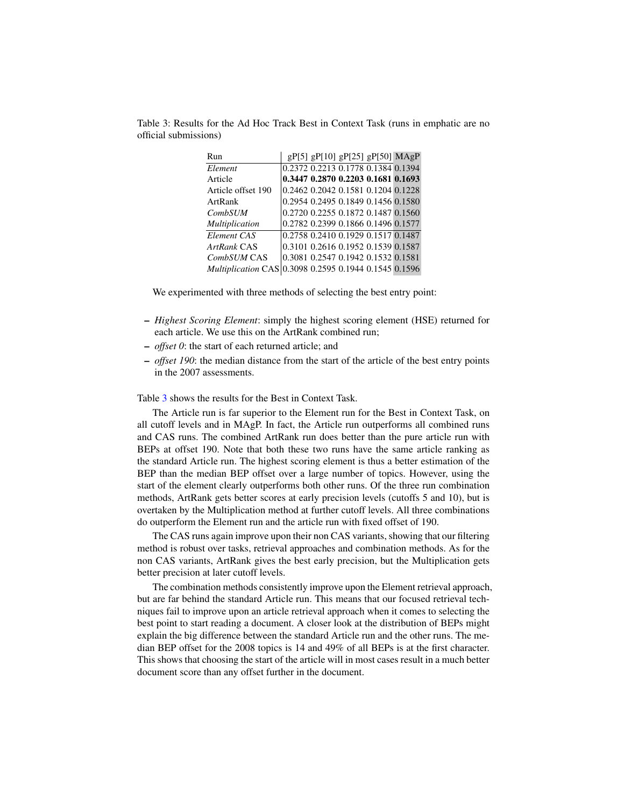| Run                                                          |  | gP[5] gP[10] gP[25] gP[50] MAgP    |  |
|--------------------------------------------------------------|--|------------------------------------|--|
| Element                                                      |  | 0.2372 0.2213 0.1778 0.1384 0.1394 |  |
| Article                                                      |  | 0.3447 0.2870 0.2203 0.1681 0.1693 |  |
| Article offset 190                                           |  | 0.2462 0.2042 0.1581 0.1204 0.1228 |  |
| ArtRank                                                      |  | 0.2954 0.2495 0.1849 0.1456 0.1580 |  |
| <b>CombSUM</b>                                               |  | 0.2720 0.2255 0.1872 0.1487 0.1560 |  |
| <b>Multiplication</b>                                        |  | 0.2782 0.2399 0.1866 0.1496 0.1577 |  |
| Element CAS                                                  |  | 0.2758 0.2410 0.1929 0.1517 0.1487 |  |
| ArtRank CAS                                                  |  | 0.3101 0.2616 0.1952 0.1539 0.1587 |  |
| CombSUM CAS                                                  |  | 0.3081 0.2547 0.1942 0.1532 0.1581 |  |
| <i>Multiplication</i> CAS 0.3098 0.2595 0.1944 0.1545 0.1596 |  |                                    |  |

<span id="page-5-0"></span>Table 3: Results for the Ad Hoc Track Best in Context Task (runs in emphatic are no official submissions)

We experimented with three methods of selecting the best entry point:

- *Highest Scoring Element*: simply the highest scoring element (HSE) returned for each article. We use this on the ArtRank combined run;
- *offset 0*: the start of each returned article; and
- *offset 190*: the median distance from the start of the article of the best entry points in the 2007 assessments.

Table [3](#page-5-0) shows the results for the Best in Context Task.

The Article run is far superior to the Element run for the Best in Context Task, on all cutoff levels and in MAgP. In fact, the Article run outperforms all combined runs and CAS runs. The combined ArtRank run does better than the pure article run with BEPs at offset 190. Note that both these two runs have the same article ranking as the standard Article run. The highest scoring element is thus a better estimation of the BEP than the median BEP offset over a large number of topics. However, using the start of the element clearly outperforms both other runs. Of the three run combination methods, ArtRank gets better scores at early precision levels (cutoffs 5 and 10), but is overtaken by the Multiplication method at further cutoff levels. All three combinations do outperform the Element run and the article run with fixed offset of 190.

The CAS runs again improve upon their non CAS variants, showing that our filtering method is robust over tasks, retrieval approaches and combination methods. As for the non CAS variants, ArtRank gives the best early precision, but the Multiplication gets better precision at later cutoff levels.

The combination methods consistently improve upon the Element retrieval approach, but are far behind the standard Article run. This means that our focused retrieval techniques fail to improve upon an article retrieval approach when it comes to selecting the best point to start reading a document. A closer look at the distribution of BEPs might explain the big difference between the standard Article run and the other runs. The median BEP offset for the 2008 topics is 14 and 49% of all BEPs is at the first character. This shows that choosing the start of the article will in most cases result in a much better document score than any offset further in the document.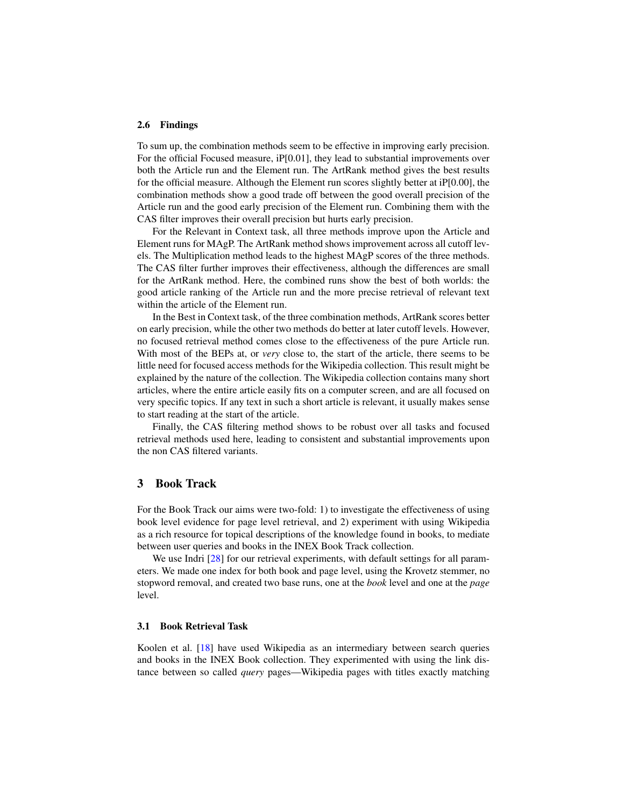#### 2.6 Findings

To sum up, the combination methods seem to be effective in improving early precision. For the official Focused measure, iP[0.01], they lead to substantial improvements over both the Article run and the Element run. The ArtRank method gives the best results for the official measure. Although the Element run scores slightly better at iP[0.00], the combination methods show a good trade off between the good overall precision of the Article run and the good early precision of the Element run. Combining them with the CAS filter improves their overall precision but hurts early precision.

For the Relevant in Context task, all three methods improve upon the Article and Element runs for MAgP. The ArtRank method shows improvement across all cutoff levels. The Multiplication method leads to the highest MAgP scores of the three methods. The CAS filter further improves their effectiveness, although the differences are small for the ArtRank method. Here, the combined runs show the best of both worlds: the good article ranking of the Article run and the more precise retrieval of relevant text within the article of the Element run.

In the Best in Context task, of the three combination methods, ArtRank scores better on early precision, while the other two methods do better at later cutoff levels. However, no focused retrieval method comes close to the effectiveness of the pure Article run. With most of the BEPs at, or *very* close to, the start of the article, there seems to be little need for focused access methods for the Wikipedia collection. This result might be explained by the nature of the collection. The Wikipedia collection contains many short articles, where the entire article easily fits on a computer screen, and are all focused on very specific topics. If any text in such a short article is relevant, it usually makes sense to start reading at the start of the article.

Finally, the CAS filtering method shows to be robust over all tasks and focused retrieval methods used here, leading to consistent and substantial improvements upon the non CAS filtered variants.

# <span id="page-6-0"></span>3 Book Track

For the Book Track our aims were two-fold: 1) to investigate the effectiveness of using book level evidence for page level retrieval, and 2) experiment with using Wikipedia as a rich resource for topical descriptions of the knowledge found in books, to mediate between user queries and books in the INEX Book Track collection.

We use Indri [\[28\]](#page-25-10) for our retrieval experiments, with default settings for all parameters. We made one index for both book and page level, using the Krovetz stemmer, no stopword removal, and created two base runs, one at the *book* level and one at the *page* level.

## 3.1 Book Retrieval Task

Koolen et al. [\[18\]](#page-25-11) have used Wikipedia as an intermediary between search queries and books in the INEX Book collection. They experimented with using the link distance between so called *query* pages—Wikipedia pages with titles exactly matching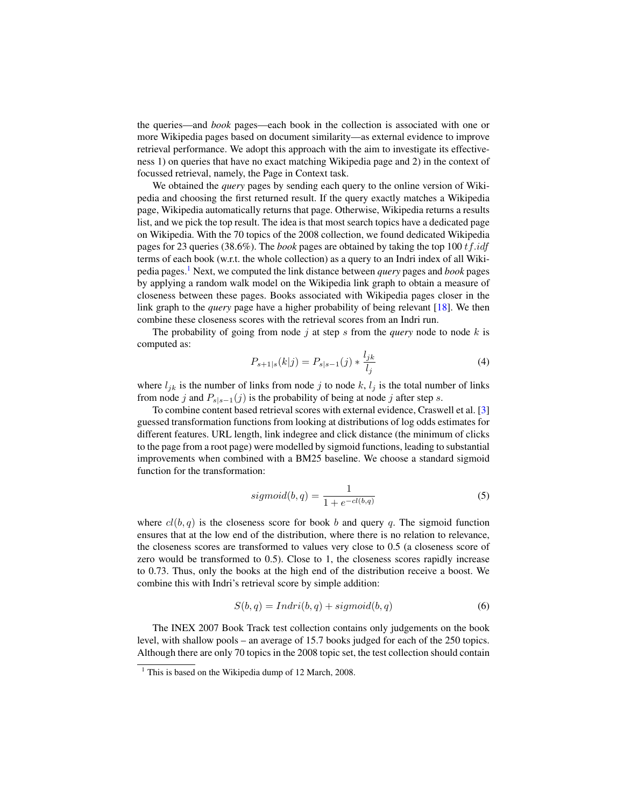the queries—and *book* pages—each book in the collection is associated with one or more Wikipedia pages based on document similarity—as external evidence to improve retrieval performance. We adopt this approach with the aim to investigate its effectiveness 1) on queries that have no exact matching Wikipedia page and 2) in the context of focussed retrieval, namely, the Page in Context task.

We obtained the *query* pages by sending each query to the online version of Wikipedia and choosing the first returned result. If the query exactly matches a Wikipedia page, Wikipedia automatically returns that page. Otherwise, Wikipedia returns a results list, and we pick the top result. The idea is that most search topics have a dedicated page on Wikipedia. With the 70 topics of the 2008 collection, we found dedicated Wikipedia pages for 23 queries (38.6%). The *book* pages are obtained by taking the top 100 tf.idf terms of each book (w.r.t. the whole collection) as a query to an Indri index of all Wikipedia pages.[1](#page-7-0) Next, we computed the link distance between *query* pages and *book* pages by applying a random walk model on the Wikipedia link graph to obtain a measure of closeness between these pages. Books associated with Wikipedia pages closer in the link graph to the *query* page have a higher probability of being relevant [\[18\]](#page-25-11). We then combine these closeness scores with the retrieval scores from an Indri run.

The probability of going from node  $j$  at step s from the *query* node to node k is computed as:

$$
P_{s+1|s}(k|j) = P_{s|s-1}(j) * \frac{l_{jk}}{l_j}
$$
\n(4)

where  $l_{jk}$  is the number of links from node j to node k,  $l_j$  is the total number of links from node j and  $P_{s|s-1}(j)$  is the probability of being at node j after step s.

To combine content based retrieval scores with external evidence, Craswell et al. [\[3\]](#page-24-4) guessed transformation functions from looking at distributions of log odds estimates for different features. URL length, link indegree and click distance (the minimum of clicks to the page from a root page) were modelled by sigmoid functions, leading to substantial improvements when combined with a BM25 baseline. We choose a standard sigmoid function for the transformation:

$$
sigmoid(b,q) = \frac{1}{1 + e^{-cl(b,q)}}\tag{5}
$$

where  $cl(b, q)$  is the closeness score for book b and query q. The sigmoid function ensures that at the low end of the distribution, where there is no relation to relevance, the closeness scores are transformed to values very close to 0.5 (a closeness score of zero would be transformed to 0.5). Close to 1, the closeness scores rapidly increase to 0.73. Thus, only the books at the high end of the distribution receive a boost. We combine this with Indri's retrieval score by simple addition:

$$
S(b,q) = Indri(b,q) + sigmoid(b,q)
$$
\n(6)

The INEX 2007 Book Track test collection contains only judgements on the book level, with shallow pools – an average of 15.7 books judged for each of the 250 topics. Although there are only 70 topics in the 2008 topic set, the test collection should contain

<span id="page-7-0"></span> $1$  This is based on the Wikipedia dump of 12 March, 2008.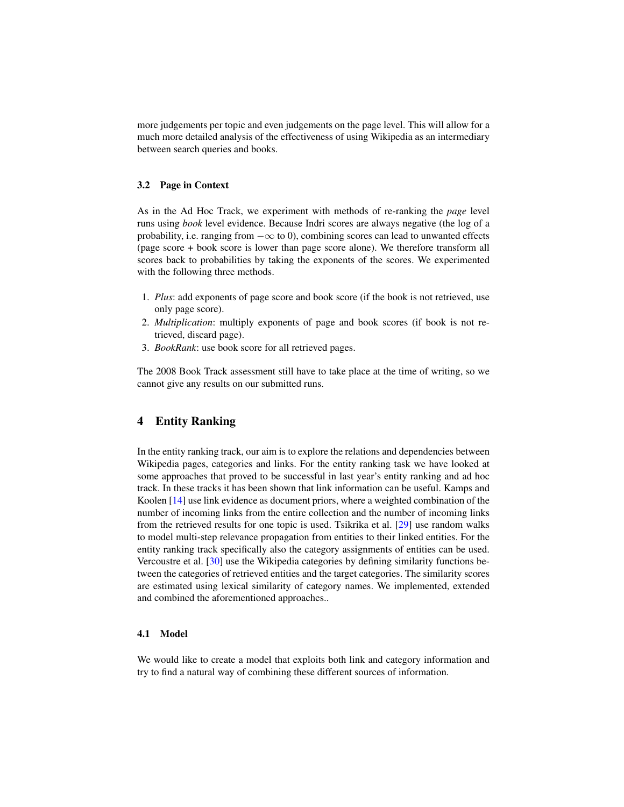more judgements per topic and even judgements on the page level. This will allow for a much more detailed analysis of the effectiveness of using Wikipedia as an intermediary between search queries and books.

## 3.2 Page in Context

As in the Ad Hoc Track, we experiment with methods of re-ranking the *page* level runs using *book* level evidence. Because Indri scores are always negative (the log of a probability, i.e. ranging from  $-\infty$  to 0), combining scores can lead to unwanted effects (page score + book score is lower than page score alone). We therefore transform all scores back to probabilities by taking the exponents of the scores. We experimented with the following three methods.

- 1. *Plus*: add exponents of page score and book score (if the book is not retrieved, use only page score).
- 2. *Multiplication*: multiply exponents of page and book scores (if book is not retrieved, discard page).
- 3. *BookRank*: use book score for all retrieved pages.

The 2008 Book Track assessment still have to take place at the time of writing, so we cannot give any results on our submitted runs.

# <span id="page-8-0"></span>4 Entity Ranking

In the entity ranking track, our aim is to explore the relations and dependencies between Wikipedia pages, categories and links. For the entity ranking task we have looked at some approaches that proved to be successful in last year's entity ranking and ad hoc track. In these tracks it has been shown that link information can be useful. Kamps and Koolen [\[14\]](#page-25-12) use link evidence as document priors, where a weighted combination of the number of incoming links from the entire collection and the number of incoming links from the retrieved results for one topic is used. Tsikrika et al. [\[29\]](#page-25-13) use random walks to model multi-step relevance propagation from entities to their linked entities. For the entity ranking track specifically also the category assignments of entities can be used. Vercoustre et al. [\[30\]](#page-25-14) use the Wikipedia categories by defining similarity functions between the categories of retrieved entities and the target categories. The similarity scores are estimated using lexical similarity of category names. We implemented, extended and combined the aforementioned approaches..

# 4.1 Model

We would like to create a model that exploits both link and category information and try to find a natural way of combining these different sources of information.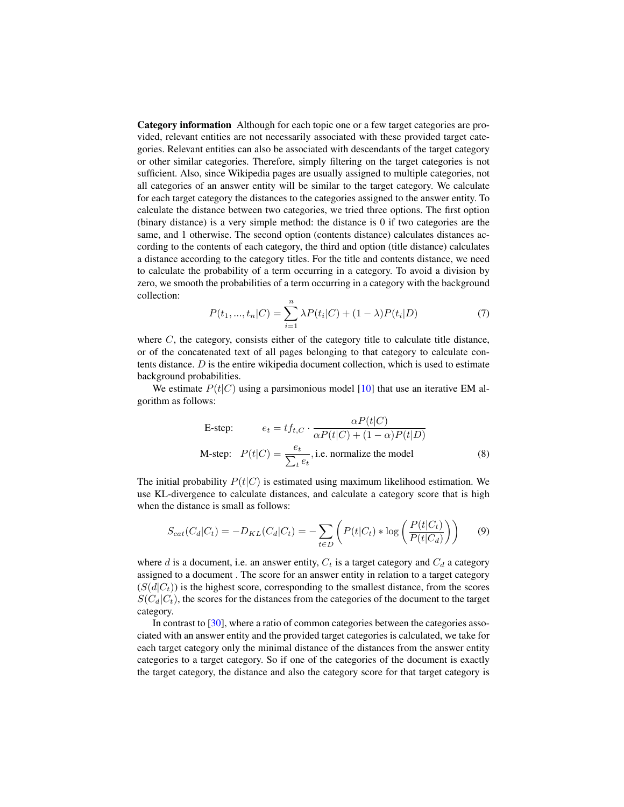Category information Although for each topic one or a few target categories are provided, relevant entities are not necessarily associated with these provided target categories. Relevant entities can also be associated with descendants of the target category or other similar categories. Therefore, simply filtering on the target categories is not sufficient. Also, since Wikipedia pages are usually assigned to multiple categories, not all categories of an answer entity will be similar to the target category. We calculate for each target category the distances to the categories assigned to the answer entity. To calculate the distance between two categories, we tried three options. The first option (binary distance) is a very simple method: the distance is 0 if two categories are the same, and 1 otherwise. The second option (contents distance) calculates distances according to the contents of each category, the third and option (title distance) calculates a distance according to the category titles. For the title and contents distance, we need to calculate the probability of a term occurring in a category. To avoid a division by zero, we smooth the probabilities of a term occurring in a category with the background collection:

$$
P(t_1, ..., t_n | C) = \sum_{i=1}^{n} \lambda P(t_i | C) + (1 - \lambda) P(t_i | D)
$$
\n(7)

where  $C$ , the category, consists either of the category title to calculate title distance, or of the concatenated text of all pages belonging to that category to calculate contents distance.  $D$  is the entire wikipedia document collection, which is used to estimate background probabilities.

We estimate  $P(t|C)$  using a parsimonious model [\[10\]](#page-24-5) that use an iterative EM algorithm as follows:

E-step: 
$$
e_t = tf_{t,C} \cdot \frac{\alpha P(t|C)}{\alpha P(t|C) + (1 - \alpha)P(t|D)}
$$
  
M-step:  $P(t|C) = \frac{e_t}{\sum_t e_t}$ , i.e. normalize the model (8)

The initial probability  $P(t|C)$  is estimated using maximum likelihood estimation. We use KL-divergence to calculate distances, and calculate a category score that is high when the distance is small as follows:

$$
S_{cat}(C_d|C_t) = -D_{KL}(C_d|C_t) = -\sum_{t \in D} \left( P(t|C_t) * \log \left( \frac{P(t|C_t)}{P(t|C_d)} \right) \right) \tag{9}
$$

where d is a document, i.e. an answer entity,  $C_t$  is a target category and  $C_d$  a category assigned to a document . The score for an answer entity in relation to a target category  $(S(d|C<sub>t</sub>))$  is the highest score, corresponding to the smallest distance, from the scores  $S(C_d|C_t)$ , the scores for the distances from the categories of the document to the target category.

In contrast to [\[30\]](#page-25-14), where a ratio of common categories between the categories associated with an answer entity and the provided target categories is calculated, we take for each target category only the minimal distance of the distances from the answer entity categories to a target category. So if one of the categories of the document is exactly the target category, the distance and also the category score for that target category is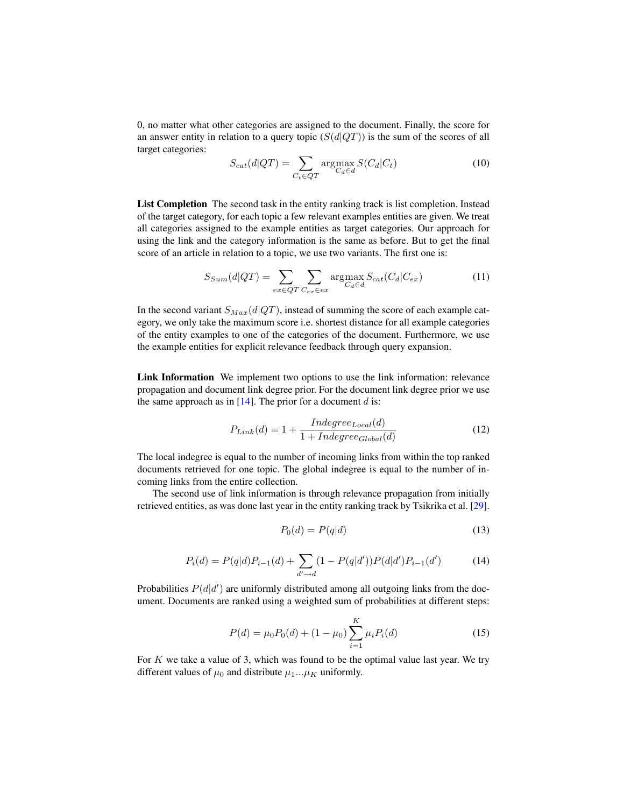0, no matter what other categories are assigned to the document. Finally, the score for an answer entity in relation to a query topic  $(S(d|QT))$  is the sum of the scores of all target categories:

$$
S_{cat}(d|QT) = \sum_{C_t \in QT} \operatorname{argmax}_{C_d \in d} S(C_d|C_t)
$$
\n(10)

List Completion The second task in the entity ranking track is list completion. Instead of the target category, for each topic a few relevant examples entities are given. We treat all categories assigned to the example entities as target categories. Our approach for using the link and the category information is the same as before. But to get the final score of an article in relation to a topic, we use two variants. The first one is:

$$
S_{Sum}(d|QT) = \sum_{ex \in QT} \sum_{C_{ex} \in ex} \operatorname{argmax}_{C_d \in d} S_{cat}(C_d|C_{ex})
$$
\n(11)

In the second variant  $S_{Max}(d|QT)$ , instead of summing the score of each example category, we only take the maximum score i.e. shortest distance for all example categories of the entity examples to one of the categories of the document. Furthermore, we use the example entities for explicit relevance feedback through query expansion.

Link Information We implement two options to use the link information: relevance propagation and document link degree prior. For the document link degree prior we use the same approach as in  $[14]$ . The prior for a document d is:

$$
P_{Link}(d) = 1 + \frac{Independ_{Local}(d)}{1 + Indegree_{Global}(d)}
$$
\n
$$
(12)
$$

The local indegree is equal to the number of incoming links from within the top ranked documents retrieved for one topic. The global indegree is equal to the number of incoming links from the entire collection.

The second use of link information is through relevance propagation from initially retrieved entities, as was done last year in the entity ranking track by Tsikrika et al. [\[29\]](#page-25-13).

$$
P_0(d) = P(q|d) \tag{13}
$$

$$
P_i(d) = P(q|d)P_{i-1}(d) + \sum_{d' \to d} (1 - P(q|d'))P(d|d')P_{i-1}(d')
$$
 (14)

Probabilities  $P(d|d')$  are uniformly distributed among all outgoing links from the document. Documents are ranked using a weighted sum of probabilities at different steps:

$$
P(d) = \mu_0 P_0(d) + (1 - \mu_0) \sum_{i=1}^{K} \mu_i P_i(d)
$$
\n(15)

For  $K$  we take a value of 3, which was found to be the optimal value last year. We try different values of  $\mu_0$  and distribute  $\mu_1...\mu_K$  uniformly.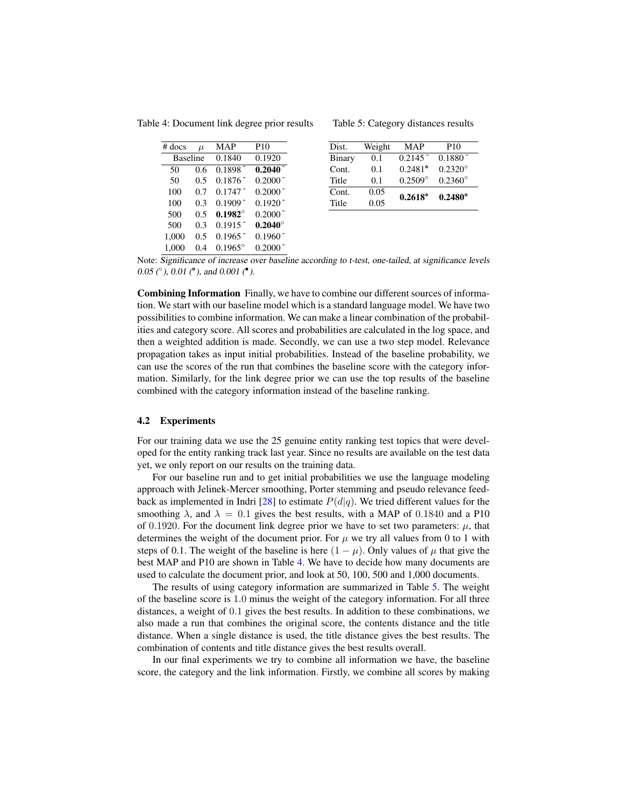Table 4: Document link degree prior results

<span id="page-11-0"></span>

| $#$ docs        | $\mu$ | <b>MAP</b>            | P <sub>10</sub>       |
|-----------------|-------|-----------------------|-----------------------|
| <b>Baseline</b> |       | 0.1840                | 0.1920                |
| 50              | 0.6   | $0.1898 -$            | $0.2040 -$            |
| 50              | 0.5   | $0.1876$ <sup>-</sup> | $0.2000^-$            |
| 100             | 0.7   | $0.1747$ <sup>-</sup> | $0.2000^{-}$          |
| 100             | 0.3   | $0.1909 -$            | $0.1920 -$            |
| 500             | 0.5   | $0.1982^{\circ}$      | $0.2000^-$            |
| 500             | 0.3   | $0.1915$ <sup>-</sup> | $0.2040^\circ$        |
| 1,000           | 0.5   | $0.1965$ <sup>-</sup> | $0.1960$ <sup>-</sup> |
| 1.000           | 04    | $0.1965^{\circ}$      | 0.2000                |

<span id="page-11-1"></span>Table 5: Category distances results

| Dist.  | Weight | <b>MAP</b>            | P <sub>10</sub>  |
|--------|--------|-----------------------|------------------|
| Binary | 0.1    | $0.2145$ <sup>-</sup> | $0.1880^{-}$     |
| Cont.  | 0.1    | $0.2481^{\circ}$      | $0.2320^{\circ}$ |
| Title  | 0.1    | $0.2509^{\circ}$      | $0.2360^{\circ}$ |
| Cont.  | 0.05   | $0.2618^{\circ}$      | $0.2480^{\circ}$ |
| Title  | 0.05   |                       |                  |

Note: Significance of increase over baseline according to t-test, one-tailed, at significance levels  $0.05$  ( $^{\circ}$ ),  $0.01$  ( $^{\circ}$ ), and  $0.001$  ( $^{\bullet}$ ).

Combining Information Finally, we have to combine our different sources of information. We start with our baseline model which is a standard language model. We have two possibilities to combine information. We can make a linear combination of the probabilities and category score. All scores and probabilities are calculated in the log space, and then a weighted addition is made. Secondly, we can use a two step model. Relevance propagation takes as input initial probabilities. Instead of the baseline probability, we can use the scores of the run that combines the baseline score with the category information. Similarly, for the link degree prior we can use the top results of the baseline combined with the category information instead of the baseline ranking.

#### 4.2 Experiments

For our training data we use the 25 genuine entity ranking test topics that were developed for the entity ranking track last year. Since no results are available on the test data yet, we only report on our results on the training data.

For our baseline run and to get initial probabilities we use the language modeling approach with Jelinek-Mercer smoothing, Porter stemming and pseudo relevance feed-back as implemented in Indri [\[28\]](#page-25-10) to estimate  $P(d|q)$ . We tried different values for the smoothing  $\lambda$ , and  $\lambda = 0.1$  gives the best results, with a MAP of 0.1840 and a P10 of 0.1920. For the document link degree prior we have to set two parameters:  $\mu$ , that determines the weight of the document prior. For  $\mu$  we try all values from 0 to 1 with steps of 0.1. The weight of the baseline is here  $(1 - \mu)$ . Only values of  $\mu$  that give the best MAP and P10 are shown in Table [4.](#page-11-0) We have to decide how many documents are used to calculate the document prior, and look at 50, 100, 500 and 1,000 documents.

The results of using category information are summarized in Table [5.](#page-11-1) The weight of the baseline score is 1.0 minus the weight of the category information. For all three distances, a weight of 0.1 gives the best results. In addition to these combinations, we also made a run that combines the original score, the contents distance and the title distance. When a single distance is used, the title distance gives the best results. The combination of contents and title distance gives the best results overall.

In our final experiments we try to combine all information we have, the baseline score, the category and the link information. Firstly, we combine all scores by making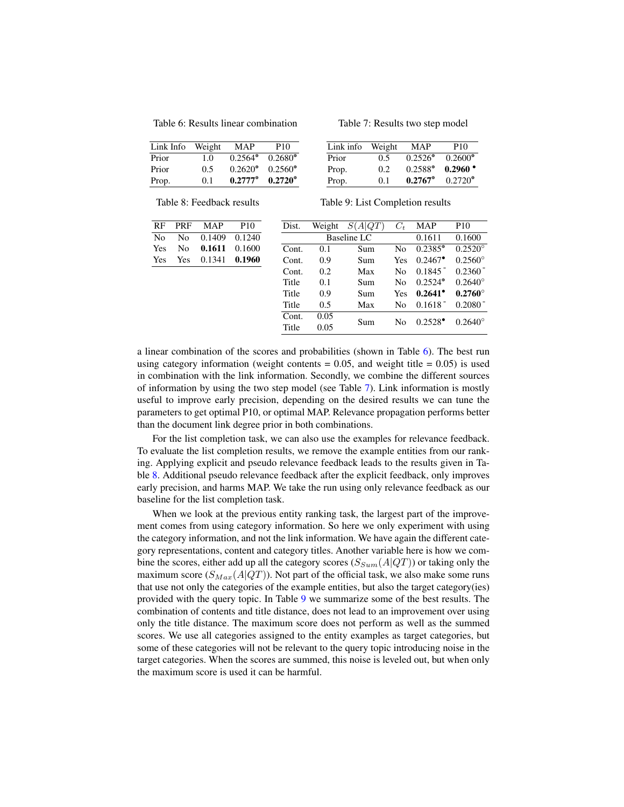<span id="page-12-0"></span>Table 6: Results linear combination

| Link Info | Weight | MAP              | P <sub>10</sub>  |
|-----------|--------|------------------|------------------|
| Prior     | 1.0    | $0.2564^{\circ}$ | $0.2680^{\circ}$ |
| Prior     | 0.5    | $0.2620^{\circ}$ | $0.2560^{\circ}$ |
| Prop.     | 0.1    | $0.2777^{\circ}$ | $0.2720^{\circ}$ |

<span id="page-12-1"></span>Table 7: Results two step model

| Link info | Weight | MAP              | P10                 |
|-----------|--------|------------------|---------------------|
| Prior     | 0.5    | $0.2526^{\circ}$ | $0.2600^{\circ}$    |
| Prop.     | 0.2    | $0.2588^{\circ}$ | $0.2960$ $^{\circ}$ |
| Prop.     | 0.1    | $0.2767$ °       | $0.2720^{\circ}$    |

<span id="page-12-2"></span>Table 8: Feedback results

<span id="page-12-3"></span>

| RF  | <b>PRF</b> | <b>MAP</b> | P <sub>10</sub> | Dist. | Weight | S(A QT)     | $C_t$          | <b>MAP</b>            | P <sub>10</sub>       |
|-----|------------|------------|-----------------|-------|--------|-------------|----------------|-----------------------|-----------------------|
| No  | No         | 0.1409     | 0.1240          |       |        | Baseline LC |                | 0.1611                | 0.1600                |
| Yes | No         | 0.1611     | 0.1600          | Cont. | 0.1    | Sum         | N <sub>0</sub> | $0.2385^{\circ}$      | $0.2520^{\circ}$      |
| Yes | Yes        | 0.1341     | 0.1960          | Cont. | 0.9    | Sum         | <b>Yes</b>     | $0.2467^{\circ}$      | $0.2560^{\circ}$      |
|     |            |            |                 | Cont. | 0.2    | Max         | No             | $0.1845$ <sup>-</sup> | $0.2360$ <sup>-</sup> |
|     |            |            |                 | Title | 0.1    | Sum         | N <sub>0</sub> | $0.2524^{\circ}$      | $0.2640^{\circ}$      |
|     |            |            |                 | Title | 0.9    | Sum         | Yes            | $0.2641^{\circ}$      | $0.2760^{\circ}$      |
|     |            |            |                 | Title | 0.5    | Max         | No             | $0.1618^{-}$          | $0.2080^{-}$          |
|     |            |            |                 | Cont. | 0.05   | Sum         | No             | $0.2528^{\bullet}$    | $0.2640^{\circ}$      |
|     |            |            |                 | Title | 0.05   |             |                |                       |                       |
|     |            |            |                 |       |        |             |                |                       |                       |

a linear combination of the scores and probabilities (shown in Table [6\)](#page-12-0). The best run using category information (weight contents  $= 0.05$ , and weight title  $= 0.05$ ) is used in combination with the link information. Secondly, we combine the different sources of information by using the two step model (see Table [7\)](#page-12-1). Link information is mostly useful to improve early precision, depending on the desired results we can tune the parameters to get optimal P10, or optimal MAP. Relevance propagation performs better than the document link degree prior in both combinations.

For the list completion task, we can also use the examples for relevance feedback. To evaluate the list completion results, we remove the example entities from our ranking. Applying explicit and pseudo relevance feedback leads to the results given in Table [8.](#page-12-2) Additional pseudo relevance feedback after the explicit feedback, only improves early precision, and harms MAP. We take the run using only relevance feedback as our baseline for the list completion task.

When we look at the previous entity ranking task, the largest part of the improvement comes from using category information. So here we only experiment with using the category information, and not the link information. We have again the different category representations, content and category titles. Another variable here is how we combine the scores, either add up all the category scores  $(S_{Sum}(A|QT))$  or taking only the maximum score  $(S_{Max}(A|QT))$ . Not part of the official task, we also make some runs that use not only the categories of the example entities, but also the target category(ies) provided with the query topic. In Table [9](#page-12-3) we summarize some of the best results. The combination of contents and title distance, does not lead to an improvement over using only the title distance. The maximum score does not perform as well as the summed scores. We use all categories assigned to the entity examples as target categories, but some of these categories will not be relevant to the query topic introducing noise in the target categories. When the scores are summed, this noise is leveled out, but when only the maximum score is used it can be harmful.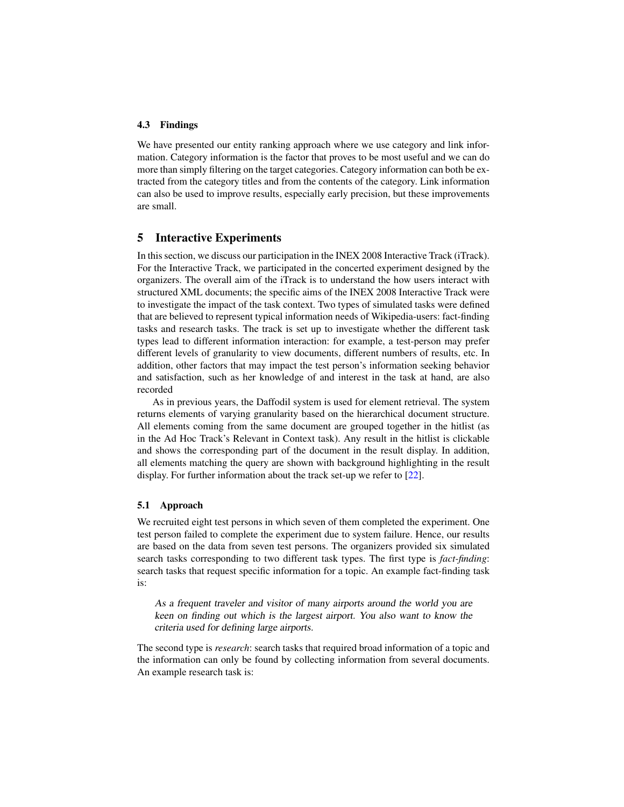# 4.3 Findings

We have presented our entity ranking approach where we use category and link information. Category information is the factor that proves to be most useful and we can do more than simply filtering on the target categories. Category information can both be extracted from the category titles and from the contents of the category. Link information can also be used to improve results, especially early precision, but these improvements are small.

# <span id="page-13-0"></span>5 Interactive Experiments

In this section, we discuss our participation in the INEX 2008 Interactive Track (iTrack). For the Interactive Track, we participated in the concerted experiment designed by the organizers. The overall aim of the iTrack is to understand the how users interact with structured XML documents; the specific aims of the INEX 2008 Interactive Track were to investigate the impact of the task context. Two types of simulated tasks were defined that are believed to represent typical information needs of Wikipedia-users: fact-finding tasks and research tasks. The track is set up to investigate whether the different task types lead to different information interaction: for example, a test-person may prefer different levels of granularity to view documents, different numbers of results, etc. In addition, other factors that may impact the test person's information seeking behavior and satisfaction, such as her knowledge of and interest in the task at hand, are also recorded

As in previous years, the Daffodil system is used for element retrieval. The system returns elements of varying granularity based on the hierarchical document structure. All elements coming from the same document are grouped together in the hitlist (as in the Ad Hoc Track's Relevant in Context task). Any result in the hitlist is clickable and shows the corresponding part of the document in the result display. In addition, all elements matching the query are shown with background highlighting in the result display. For further information about the track set-up we refer to [\[22\]](#page-25-15).

# 5.1 Approach

We recruited eight test persons in which seven of them completed the experiment. One test person failed to complete the experiment due to system failure. Hence, our results are based on the data from seven test persons. The organizers provided six simulated search tasks corresponding to two different task types. The first type is *fact-finding*: search tasks that request specific information for a topic. An example fact-finding task is:

As a frequent traveler and visitor of many airports around the world you are keen on finding out which is the largest airport. You also want to know the criteria used for defining large airports.

The second type is *research*: search tasks that required broad information of a topic and the information can only be found by collecting information from several documents. An example research task is: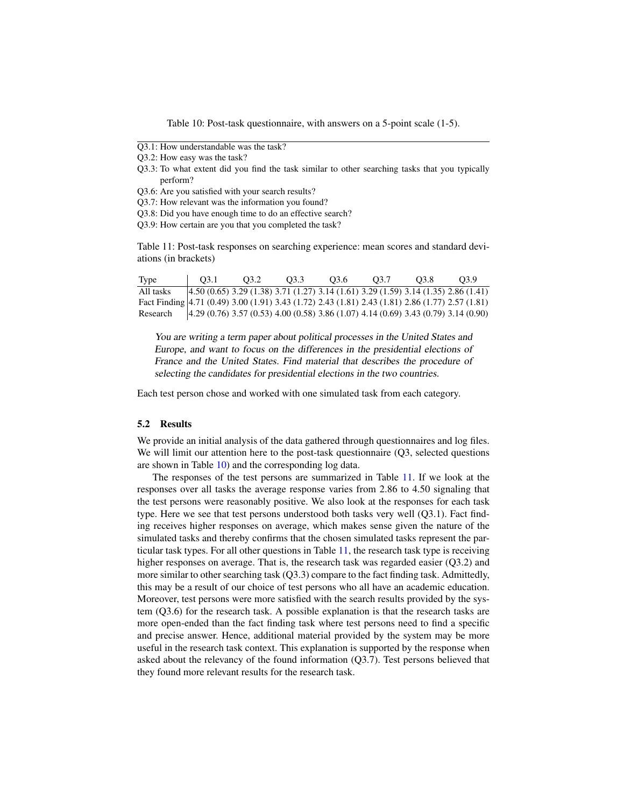<span id="page-14-0"></span>Table 10: Post-task questionnaire, with answers on a 5-point scale (1-5).

- Q3.1: How understandable was the task?
- Q3.2: How easy was the task?
- Q3.3: To what extent did you find the task similar to other searching tasks that you typically perform?
- Q3.6: Are you satisfied with your search results?
- Q3.7: How relevant was the information you found?
- Q3.8: Did you have enough time to do an effective search?
- Q3.9: How certain are you that you completed the task?

<span id="page-14-1"></span>Table 11: Post-task responses on searching experience: mean scores and standard deviations (in brackets)

| Type                                                                                             | O3.1 | 03.2 | 03.3 | 03.6                                                                                 | 03.7 | O3.8 | 03.9 |
|--------------------------------------------------------------------------------------------------|------|------|------|--------------------------------------------------------------------------------------|------|------|------|
| All tasks                                                                                        |      |      |      | $(4.50(0.65) 3.29(1.38) 3.71(1.27) 3.14(1.61) 3.29(1.59) 3.14(1.35) 2.86(1.41)$      |      |      |      |
| Fact Finding 4.71 (0.49) 3.00 (1.91) 3.43 (1.72) 2.43 (1.81) 2.43 (1.81) 2.86 (1.77) 2.57 (1.81) |      |      |      |                                                                                      |      |      |      |
| Research                                                                                         |      |      |      | $4.29(0.76)$ 3.57 (0.53) 4.00 (0.58) 3.86 (1.07) 4.14 (0.69) 3.43 (0.79) 3.14 (0.90) |      |      |      |

You are writing a term paper about political processes in the United States and Europe, and want to focus on the differences in the presidential elections of France and the United States. Find material that describes the procedure of selecting the candidates for presidential elections in the two countries.

Each test person chose and worked with one simulated task from each category.

#### 5.2 Results

We provide an initial analysis of the data gathered through questionnaires and log files. We will limit our attention here to the post-task questionnaire (Q3, selected questions are shown in Table [10\)](#page-14-0) and the corresponding log data.

The responses of the test persons are summarized in Table [11.](#page-14-1) If we look at the responses over all tasks the average response varies from 2.86 to 4.50 signaling that the test persons were reasonably positive. We also look at the responses for each task type. Here we see that test persons understood both tasks very well (Q3.1). Fact finding receives higher responses on average, which makes sense given the nature of the simulated tasks and thereby confirms that the chosen simulated tasks represent the particular task types. For all other questions in Table [11,](#page-14-1) the research task type is receiving higher responses on average. That is, the research task was regarded easier (O3.2) and more similar to other searching task (Q3.3) compare to the fact finding task. Admittedly, this may be a result of our choice of test persons who all have an academic education. Moreover, test persons were more satisfied with the search results provided by the system (Q3.6) for the research task. A possible explanation is that the research tasks are more open-ended than the fact finding task where test persons need to find a specific and precise answer. Hence, additional material provided by the system may be more useful in the research task context. This explanation is supported by the response when asked about the relevancy of the found information (Q3.7). Test persons believed that they found more relevant results for the research task.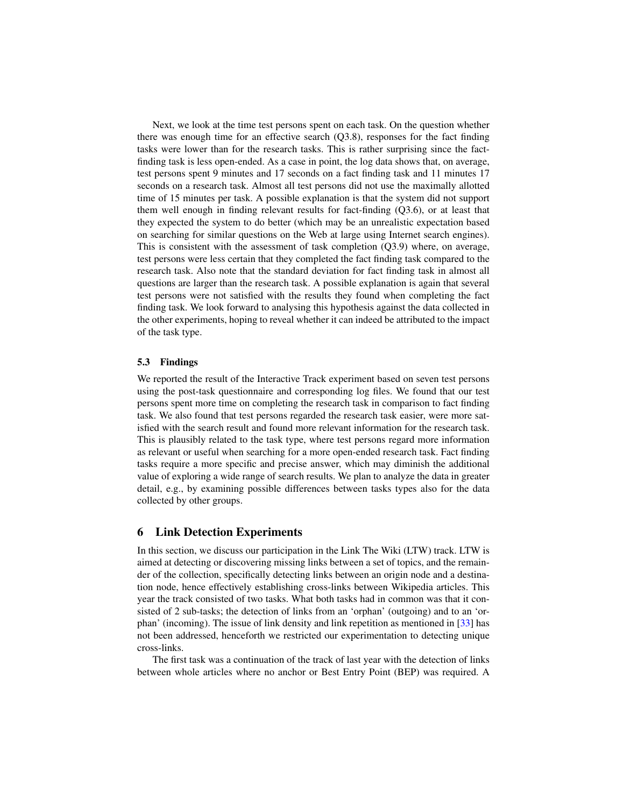Next, we look at the time test persons spent on each task. On the question whether there was enough time for an effective search  $(Q3.8)$ , responses for the fact finding tasks were lower than for the research tasks. This is rather surprising since the factfinding task is less open-ended. As a case in point, the log data shows that, on average, test persons spent 9 minutes and 17 seconds on a fact finding task and 11 minutes 17 seconds on a research task. Almost all test persons did not use the maximally allotted time of 15 minutes per task. A possible explanation is that the system did not support them well enough in finding relevant results for fact-finding (Q3.6), or at least that they expected the system to do better (which may be an unrealistic expectation based on searching for similar questions on the Web at large using Internet search engines). This is consistent with the assessment of task completion (Q3.9) where, on average, test persons were less certain that they completed the fact finding task compared to the research task. Also note that the standard deviation for fact finding task in almost all questions are larger than the research task. A possible explanation is again that several test persons were not satisfied with the results they found when completing the fact finding task. We look forward to analysing this hypothesis against the data collected in the other experiments, hoping to reveal whether it can indeed be attributed to the impact of the task type.

#### 5.3 Findings

We reported the result of the Interactive Track experiment based on seven test persons using the post-task questionnaire and corresponding log files. We found that our test persons spent more time on completing the research task in comparison to fact finding task. We also found that test persons regarded the research task easier, were more satisfied with the search result and found more relevant information for the research task. This is plausibly related to the task type, where test persons regard more information as relevant or useful when searching for a more open-ended research task. Fact finding tasks require a more specific and precise answer, which may diminish the additional value of exploring a wide range of search results. We plan to analyze the data in greater detail, e.g., by examining possible differences between tasks types also for the data collected by other groups.

# <span id="page-15-0"></span>6 Link Detection Experiments

In this section, we discuss our participation in the Link The Wiki (LTW) track. LTW is aimed at detecting or discovering missing links between a set of topics, and the remainder of the collection, specifically detecting links between an origin node and a destination node, hence effectively establishing cross-links between Wikipedia articles. This year the track consisted of two tasks. What both tasks had in common was that it consisted of 2 sub-tasks; the detection of links from an 'orphan' (outgoing) and to an 'orphan' (incoming). The issue of link density and link repetition as mentioned in [\[33\]](#page-25-16) has not been addressed, henceforth we restricted our experimentation to detecting unique cross-links.

The first task was a continuation of the track of last year with the detection of links between whole articles where no anchor or Best Entry Point (BEP) was required. A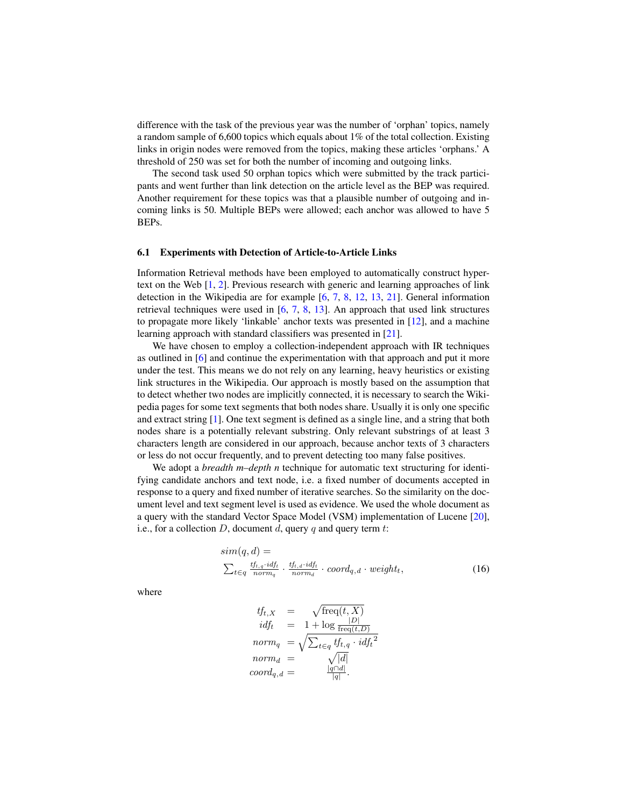difference with the task of the previous year was the number of 'orphan' topics, namely a random sample of 6,600 topics which equals about  $1\%$  of the total collection. Existing links in origin nodes were removed from the topics, making these articles 'orphans.' A threshold of 250 was set for both the number of incoming and outgoing links.

The second task used 50 orphan topics which were submitted by the track participants and went further than link detection on the article level as the BEP was required. Another requirement for these topics was that a plausible number of outgoing and incoming links is 50. Multiple BEPs were allowed; each anchor was allowed to have 5 BEPs.

#### 6.1 Experiments with Detection of Article-to-Article Links

Information Retrieval methods have been employed to automatically construct hypertext on the Web [\[1,](#page-24-6) [2\]](#page-24-7). Previous research with generic and learning approaches of link detection in the Wikipedia are for example [\[6,](#page-24-3) [7,](#page-24-8) [8,](#page-24-9) [12,](#page-24-10) [13,](#page-24-11) [21\]](#page-25-17). General information retrieval techniques were used in  $[6, 7, 8, 13]$  $[6, 7, 8, 13]$  $[6, 7, 8, 13]$  $[6, 7, 8, 13]$  $[6, 7, 8, 13]$  $[6, 7, 8, 13]$  $[6, 7, 8, 13]$ . An approach that used link structures to propagate more likely 'linkable' anchor texts was presented in [\[12\]](#page-24-10), and a machine learning approach with standard classifiers was presented in [\[21\]](#page-25-17).

We have chosen to employ a collection-independent approach with IR techniques as outlined in [\[6\]](#page-24-3) and continue the experimentation with that approach and put it more under the test. This means we do not rely on any learning, heavy heuristics or existing link structures in the Wikipedia. Our approach is mostly based on the assumption that to detect whether two nodes are implicitly connected, it is necessary to search the Wikipedia pages for some text segments that both nodes share. Usually it is only one specific and extract string [\[1\]](#page-24-6). One text segment is defined as a single line, and a string that both nodes share is a potentially relevant substring. Only relevant substrings of at least 3 characters length are considered in our approach, because anchor texts of 3 characters or less do not occur frequently, and to prevent detecting too many false positives.

We adopt a *breadth m–depth n* technique for automatic text structuring for identifying candidate anchors and text node, i.e. a fixed number of documents accepted in response to a query and fixed number of iterative searches. So the similarity on the document level and text segment level is used as evidence. We used the whole document as a query with the standard Vector Space Model (VSM) implementation of Lucene [\[20\]](#page-25-1), i.e., for a collection  $D$ , document  $d$ , query  $q$  and query term  $t$ :

$$
sim(q, d) =
$$
  
\n
$$
\sum_{t \in q} \frac{tf_{t,q} \cdot id_{t}}{norm_{q}} \cdot \frac{tf_{t,q} \cdot id_{t}}{norm_{d}} \cdot coord_{q,d} \cdot weight_{t},
$$
 (16)

where

$$
tf_{t,X} = \sqrt{\text{freq}(t,X)}
$$
  
\n
$$
idf_t = 1 + \log \frac{|D|}{\text{freq}(t,D)}
$$
  
\n
$$
norm_q = \sqrt{\sum_{t \in q} tf_{t,q} \cdot idf_t^2}
$$
  
\n
$$
norm_d = \sqrt{|d|}
$$
  
\n
$$
coord_{q,d} = \frac{|q \cap d|}{|q|}.
$$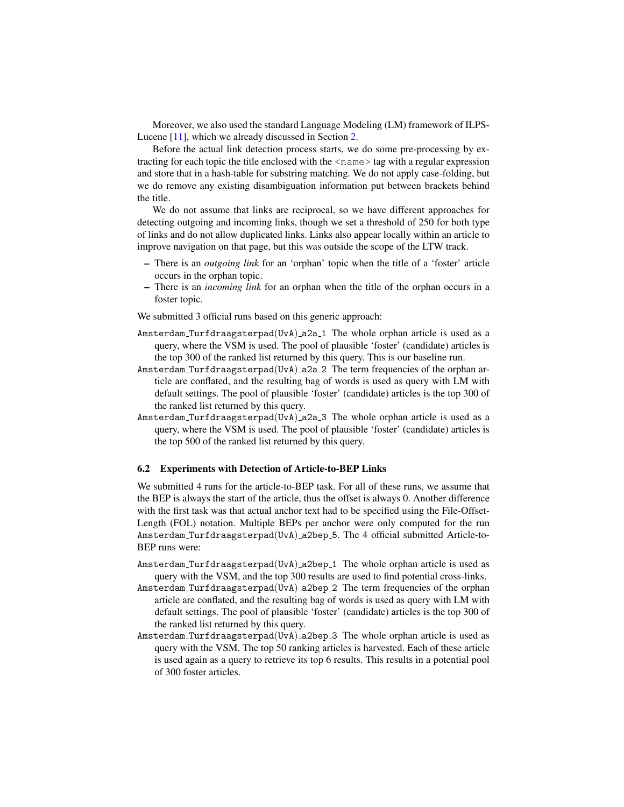Moreover, we also used the standard Language Modeling (LM) framework of ILPS-Lucene [\[11\]](#page-24-1), which we already discussed in Section [2.](#page-1-0)

Before the actual link detection process starts, we do some pre-processing by extracting for each topic the title enclosed with the <name> tag with a regular expression and store that in a hash-table for substring matching. We do not apply case-folding, but we do remove any existing disambiguation information put between brackets behind the title.

We do not assume that links are reciprocal, so we have different approaches for detecting outgoing and incoming links, though we set a threshold of 250 for both type of links and do not allow duplicated links. Links also appear locally within an article to improve navigation on that page, but this was outside the scope of the LTW track.

- There is an *outgoing link* for an 'orphan' topic when the title of a 'foster' article occurs in the orphan topic.
- There is an *incoming link* for an orphan when the title of the orphan occurs in a foster topic.

We submitted 3 official runs based on this generic approach:

- Amsterdam Turfdraagsterpad(UvA)  $a2a_1$  The whole orphan article is used as a query, where the VSM is used. The pool of plausible 'foster' (candidate) articles is the top 300 of the ranked list returned by this query. This is our baseline run.
- Amsterdam Turfdraagsterpad(UvA) a2a 2 The term frequencies of the orphan article are conflated, and the resulting bag of words is used as query with LM with default settings. The pool of plausible 'foster' (candidate) articles is the top 300 of the ranked list returned by this query.
- Amsterdam Turfdraagsterpad(UvA) a2a 3 The whole orphan article is used as a query, where the VSM is used. The pool of plausible 'foster' (candidate) articles is the top 500 of the ranked list returned by this query.

# 6.2 Experiments with Detection of Article-to-BEP Links

We submitted 4 runs for the article-to-BEP task. For all of these runs, we assume that the BEP is always the start of the article, thus the offset is always 0. Another difference with the first task was that actual anchor text had to be specified using the File-Offset-Length (FOL) notation. Multiple BEPs per anchor were only computed for the run Amsterdam Turfdraagsterpad(UvA) a2bep 5. The 4 official submitted Article-to-BEP runs were:

- Amsterdam Turfdraagsterpad(UvA)  $a2bep_1$  The whole orphan article is used as query with the VSM, and the top 300 results are used to find potential cross-links.
- Amsterdam Turfdraagsterpad(UvA) a2bep 2 The term frequencies of the orphan article are conflated, and the resulting bag of words is used as query with LM with default settings. The pool of plausible 'foster' (candidate) articles is the top 300 of the ranked list returned by this query.
- Amsterdam Turfdraagsterpad(UvA) a2bep 3 The whole orphan article is used as query with the VSM. The top 50 ranking articles is harvested. Each of these article is used again as a query to retrieve its top 6 results. This results in a potential pool of 300 foster articles.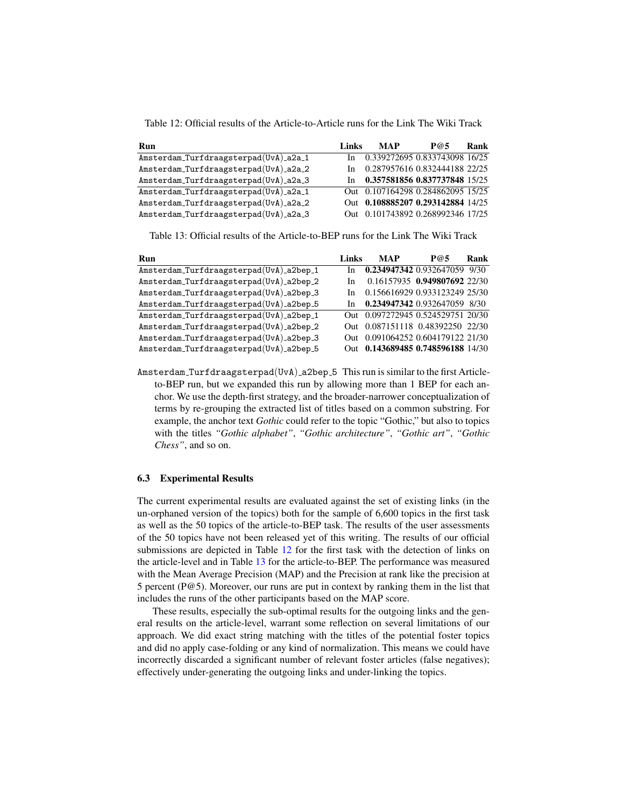<span id="page-18-0"></span>Table 12: Official results of the Article-to-Article runs for the Link The Wiki Track

| Run                                   | Links | <b>MAP</b>                        | P@5 | Rank |
|---------------------------------------|-------|-----------------------------------|-----|------|
| Amsterdam_Turfdraagsterpad(UvA)_a2a_1 | In    | 0.339272695 0.833743098 16/25     |     |      |
| Amsterdam_Turfdraagsterpad(UvA)_a2a_2 | In.   | 0.287957616 0.832444188 22/25     |     |      |
| Amsterdam_Turfdraagsterpad(UvA)_a2a_3 | In.   | 0.357581856 0.837737848 15/25     |     |      |
| Amsterdam_Turfdraagsterpad(UvA)_a2a_1 |       | Out 0.107164298 0.284862095 15/25 |     |      |
| Amsterdam_Turfdraagsterpad(UvA)_a2a_2 |       | Out 0.108885207 0.293142884 14/25 |     |      |
| Amsterdam_Turfdraagsterpad(UvA)_a2a_3 |       | Out 0.101743892 0.268992346 17/25 |     |      |

<span id="page-18-1"></span>Table 13: Official results of the Article-to-BEP runs for the Link The Wiki Track

| <b>Run</b>                              | Links | MAP                               | P@5                          | Rank |
|-----------------------------------------|-------|-----------------------------------|------------------------------|------|
| Amsterdam_Turfdraagsterpad(UvA)_a2bep_1 | In    | 0.234947342 0.932647059 9/30      |                              |      |
| Amsterdam_Turfdraagsterpad(UvA)_a2bep_2 | In    |                                   | 0.16157935 0.949807692 22/30 |      |
| Amsterdam_Turfdraagsterpad(UvA)_a2bep_3 | In.   | 0.156616929 0.933123249 25/30     |                              |      |
| Amsterdam_Turfdraagsterpad(UvA)_a2bep_5 | In    | 0.234947342 0.932647059 8/30      |                              |      |
| Amsterdam_Turfdraagsterpad(UvA)_a2bep_1 |       | Out 0.097272945 0.524529751 20/30 |                              |      |
| Amsterdam_Turfdraagsterpad(UvA)_a2bep_2 |       | Out 0.087151118 0.48392250 22/30  |                              |      |
| Amsterdam_Turfdraagsterpad(UvA)_a2bep_3 |       | Out 0.091064252 0.604179122 21/30 |                              |      |
| Amsterdam_Turfdraagsterpad(UvA)_a2bep_5 |       | Out 0.143689485 0.748596188 14/30 |                              |      |

Amsterdam\_Turfdraagsterpad(UvA)\_a2bep\_5 This run is similar to the first Articleto-BEP run, but we expanded this run by allowing more than 1 BEP for each anchor. We use the depth-first strategy, and the broader-narrower conceptualization of terms by re-grouping the extracted list of titles based on a common substring. For example, the anchor text *Gothic* could refer to the topic "Gothic," but also to topics with the titles *"Gothic alphabet"*, *"Gothic architecture"*, *"Gothic art"*, *"Gothic Chess"*, and so on.

#### 6.3 Experimental Results

The current experimental results are evaluated against the set of existing links (in the un-orphaned version of the topics) both for the sample of 6,600 topics in the first task as well as the 50 topics of the article-to-BEP task. The results of the user assessments of the 50 topics have not been released yet of this writing. The results of our official submissions are depicted in Table [12](#page-18-0) for the first task with the detection of links on the article-level and in Table [13](#page-18-1) for the article-to-BEP. The performance was measured with the Mean Average Precision (MAP) and the Precision at rank like the precision at 5 percent (P@5). Moreover, our runs are put in context by ranking them in the list that includes the runs of the other participants based on the MAP score.

These results, especially the sub-optimal results for the outgoing links and the general results on the article-level, warrant some reflection on several limitations of our approach. We did exact string matching with the titles of the potential foster topics and did no apply case-folding or any kind of normalization. This means we could have incorrectly discarded a significant number of relevant foster articles (false negatives); effectively under-generating the outgoing links and under-linking the topics.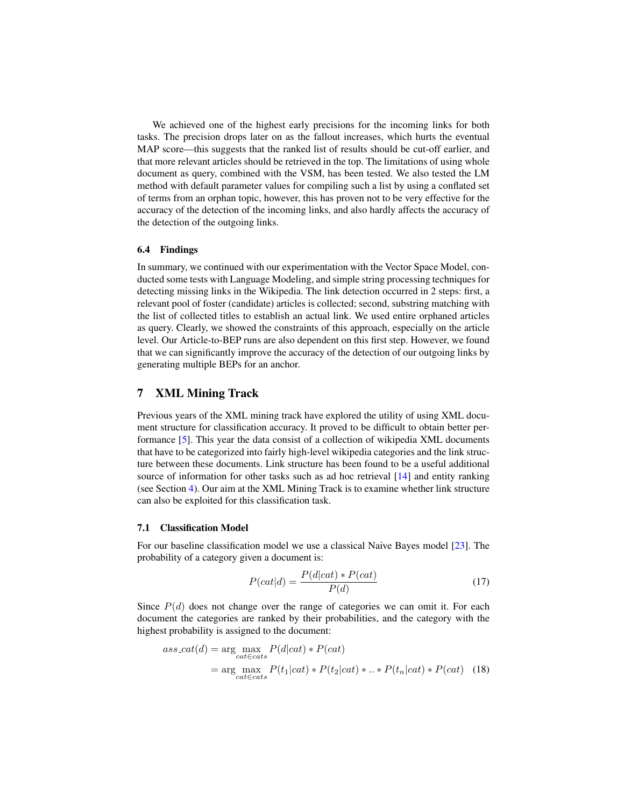We achieved one of the highest early precisions for the incoming links for both tasks. The precision drops later on as the fallout increases, which hurts the eventual MAP score—this suggests that the ranked list of results should be cut-off earlier, and that more relevant articles should be retrieved in the top. The limitations of using whole document as query, combined with the VSM, has been tested. We also tested the LM method with default parameter values for compiling such a list by using a conflated set of terms from an orphan topic, however, this has proven not to be very effective for the accuracy of the detection of the incoming links, and also hardly affects the accuracy of the detection of the outgoing links.

#### 6.4 Findings

In summary, we continued with our experimentation with the Vector Space Model, conducted some tests with Language Modeling, and simple string processing techniques for detecting missing links in the Wikipedia. The link detection occurred in 2 steps: first, a relevant pool of foster (candidate) articles is collected; second, substring matching with the list of collected titles to establish an actual link. We used entire orphaned articles as query. Clearly, we showed the constraints of this approach, especially on the article level. Our Article-to-BEP runs are also dependent on this first step. However, we found that we can significantly improve the accuracy of the detection of our outgoing links by generating multiple BEPs for an anchor.

# <span id="page-19-0"></span>7 XML Mining Track

Previous years of the XML mining track have explored the utility of using XML document structure for classification accuracy. It proved to be difficult to obtain better performance [\[5\]](#page-24-12). This year the data consist of a collection of wikipedia XML documents that have to be categorized into fairly high-level wikipedia categories and the link structure between these documents. Link structure has been found to be a useful additional source of information for other tasks such as ad hoc retrieval [\[14\]](#page-25-12) and entity ranking (see Section [4\)](#page-8-0). Our aim at the XML Mining Track is to examine whether link structure can also be exploited for this classification task.

# 7.1 Classification Model

For our baseline classification model we use a classical Naive Bayes model [\[23\]](#page-25-18). The probability of a category given a document is:

$$
P(cat|d) = \frac{P(d|cat) * P(cat)}{P(d)}
$$
\n(17)

Since  $P(d)$  does not change over the range of categories we can omit it. For each document the categories are ranked by their probabilities, and the category with the highest probability is assigned to the document:

$$
ass\_cat(d) = \underset{cat \in cats}{\arg \max_{cat \in cats} P(d|cat) * P(cat)}
$$
  
= 
$$
\underset{cat \in cats}{\arg \max_{cat \in cats} P(t_1|cat) * P(t_2|cat) * .. * P(t_n|cat) * P(cat) \quad (18)}
$$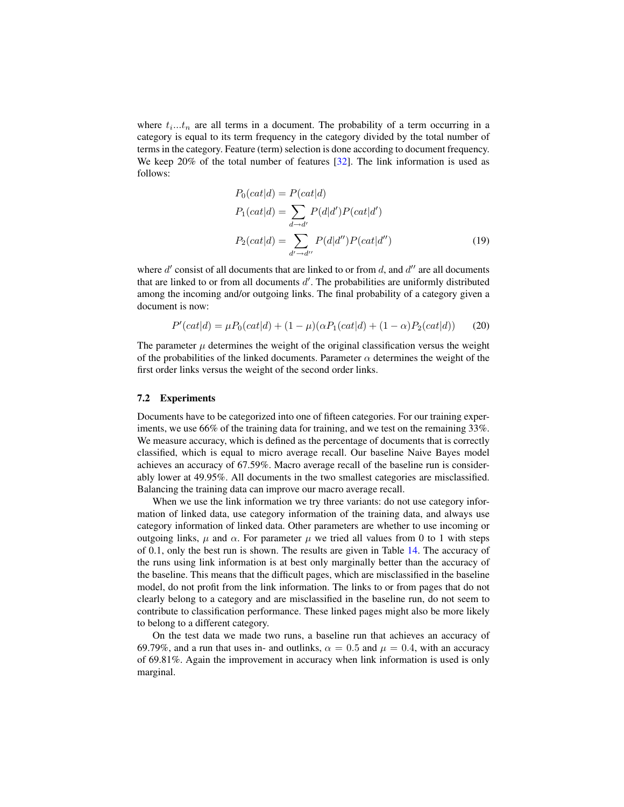where  $t_i...t_n$  are all terms in a document. The probability of a term occurring in a category is equal to its term frequency in the category divided by the total number of terms in the category. Feature (term) selection is done according to document frequency. We keep 20% of the total number of features [\[32\]](#page-25-19). The link information is used as follows:

$$
P_0(cat|d) = P(cat|d)
$$
  
\n
$$
P_1(cat|d) = \sum_{d \to d'} P(d|d')P(cat|d')
$$
  
\n
$$
P_2(cat|d) = \sum_{d' \to d''} P(d|d'')P(cat|d'')
$$
\n(19)

where  $d'$  consist of all documents that are linked to or from  $d$ , and  $d''$  are all documents that are linked to or from all documents  $d'$ . The probabilities are uniformly distributed among the incoming and/or outgoing links. The final probability of a category given a document is now:

$$
P'(cat|d) = \mu P_0(cat|d) + (1 - \mu)(\alpha P_1(cat|d) + (1 - \alpha)P_2(cat|d))
$$
 (20)

The parameter  $\mu$  determines the weight of the original classification versus the weight of the probabilities of the linked documents. Parameter  $\alpha$  determines the weight of the first order links versus the weight of the second order links.

## 7.2 Experiments

Documents have to be categorized into one of fifteen categories. For our training experiments, we use 66% of the training data for training, and we test on the remaining 33%. We measure accuracy, which is defined as the percentage of documents that is correctly classified, which is equal to micro average recall. Our baseline Naive Bayes model achieves an accuracy of 67.59%. Macro average recall of the baseline run is considerably lower at 49.95%. All documents in the two smallest categories are misclassified. Balancing the training data can improve our macro average recall.

When we use the link information we try three variants: do not use category information of linked data, use category information of the training data, and always use category information of linked data. Other parameters are whether to use incoming or outgoing links,  $\mu$  and  $\alpha$ . For parameter  $\mu$  we tried all values from 0 to 1 with steps of 0.1, only the best run is shown. The results are given in Table [14.](#page-21-0) The accuracy of the runs using link information is at best only marginally better than the accuracy of the baseline. This means that the difficult pages, which are misclassified in the baseline model, do not profit from the link information. The links to or from pages that do not clearly belong to a category and are misclassified in the baseline run, do not seem to contribute to classification performance. These linked pages might also be more likely to belong to a different category.

On the test data we made two runs, a baseline run that achieves an accuracy of 69.79%, and a run that uses in- and outlinks,  $\alpha = 0.5$  and  $\mu = 0.4$ , with an accuracy of 69.81%. Again the improvement in accuracy when link information is used is only marginal.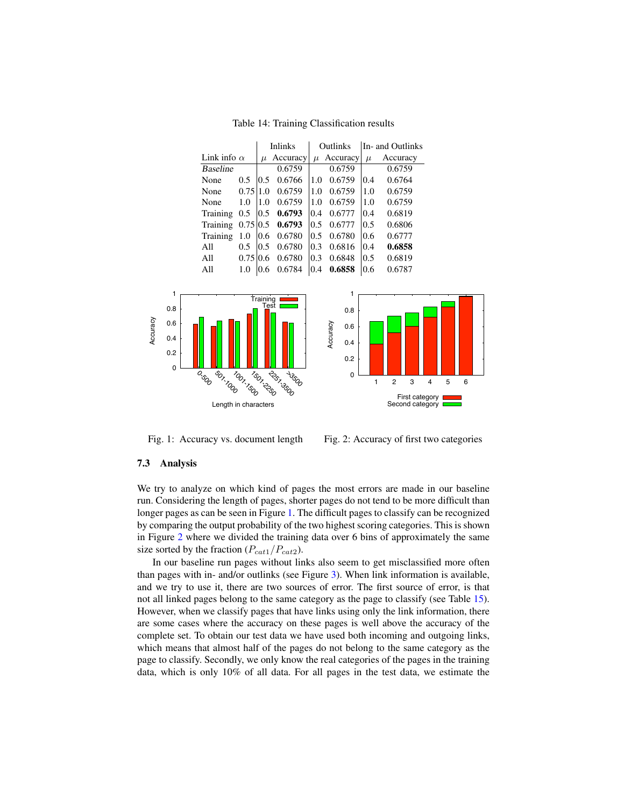<span id="page-21-0"></span>Table 14: Training Classification results



<span id="page-21-1"></span>Fig. 1: Accuracy vs. document length

<span id="page-21-2"></span>Fig. 2: Accuracy of first two categories

# 7.3 Analysis

We try to analyze on which kind of pages the most errors are made in our baseline run. Considering the length of pages, shorter pages do not tend to be more difficult than longer pages as can be seen in Figure [1.](#page-21-1) The difficult pages to classify can be recognized by comparing the output probability of the two highest scoring categories. This is shown in Figure [2](#page-21-2) where we divided the training data over 6 bins of approximately the same size sorted by the fraction  $(P_{cat1}/P_{cat2})$ .

In our baseline run pages without links also seem to get misclassified more often than pages with in- and/or outlinks (see Figure [3\)](#page-22-1). When link information is available, and we try to use it, there are two sources of error. The first source of error, is that not all linked pages belong to the same category as the page to classify (see Table [15\)](#page-22-2). However, when we classify pages that have links using only the link information, there are some cases where the accuracy on these pages is well above the accuracy of the complete set. To obtain our test data we have used both incoming and outgoing links, which means that almost half of the pages do not belong to the same category as the page to classify. Secondly, we only know the real categories of the pages in the training data, which is only 10% of all data. For all pages in the test data, we estimate the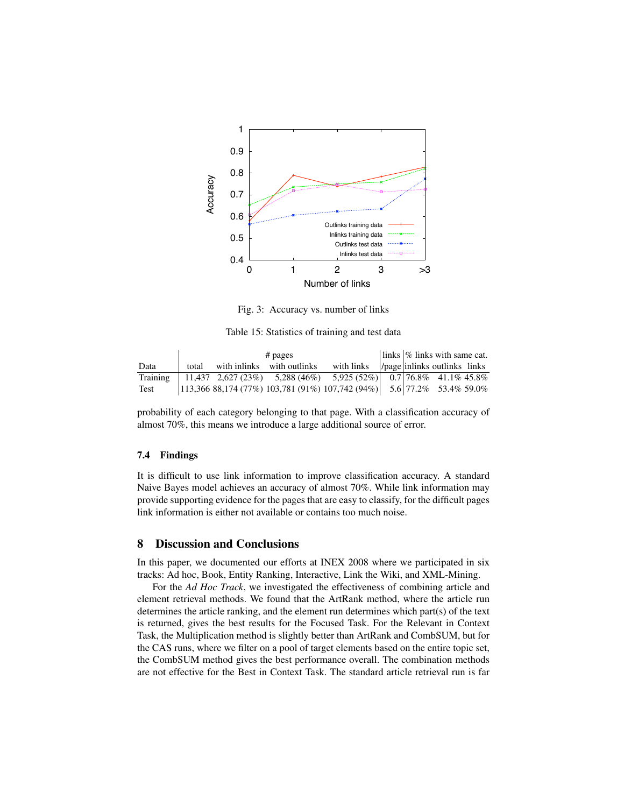

<span id="page-22-2"></span><span id="page-22-1"></span>Fig. 3: Accuracy vs. number of links

Table 15: Statistics of training and test data

|          | $#$ pages |  |                            |                                                                        | $\vert \ln \vert$ links $\vert \%$ links with same cat. |                                         |  |
|----------|-----------|--|----------------------------|------------------------------------------------------------------------|---------------------------------------------------------|-----------------------------------------|--|
| Data     | total     |  | with inlinks with outlinks | with links                                                             |                                                         | $ $ /page $ $ inlinks outlinks $ $ inks |  |
| Training |           |  |                            | 11,437 $2,627(23\%)$ 5,288(46\%) 5,925(52\%)  0.7 76.8\% 41.1\% 45.8\% |                                                         |                                         |  |
| Test     |           |  |                            |                                                                        |                                                         |                                         |  |

probability of each category belonging to that page. With a classification accuracy of almost 70%, this means we introduce a large additional source of error.

#### 7.4 Findings

It is difficult to use link information to improve classification accuracy. A standard Naive Bayes model achieves an accuracy of almost 70%. While link information may provide supporting evidence for the pages that are easy to classify, for the difficult pages link information is either not available or contains too much noise.

# <span id="page-22-0"></span>8 Discussion and Conclusions

In this paper, we documented our efforts at INEX 2008 where we participated in six tracks: Ad hoc, Book, Entity Ranking, Interactive, Link the Wiki, and XML-Mining.

For the *Ad Hoc Track*, we investigated the effectiveness of combining article and element retrieval methods. We found that the ArtRank method, where the article run determines the article ranking, and the element run determines which part(s) of the text is returned, gives the best results for the Focused Task. For the Relevant in Context Task, the Multiplication method is slightly better than ArtRank and CombSUM, but for the CAS runs, where we filter on a pool of target elements based on the entire topic set, the CombSUM method gives the best performance overall. The combination methods are not effective for the Best in Context Task. The standard article retrieval run is far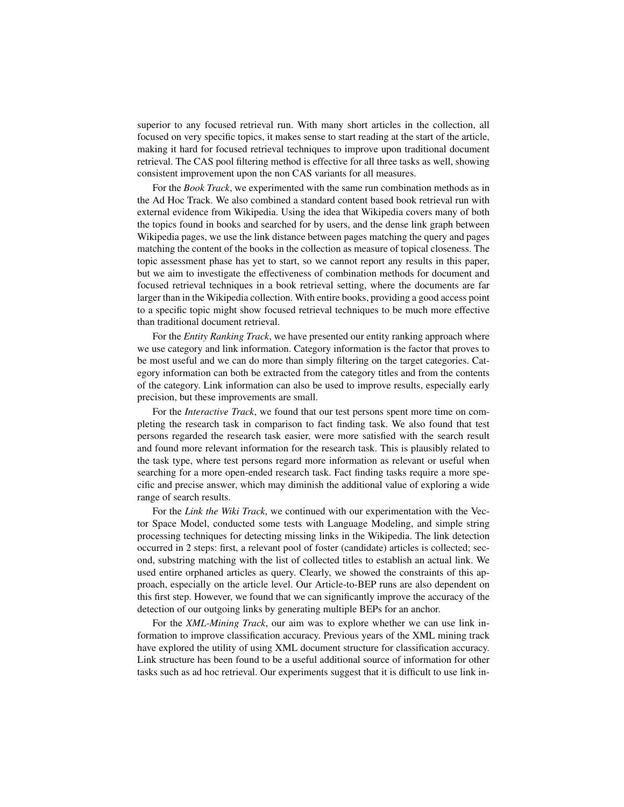superior to any focused retrieval run. With many short articles in the collection, all focused on very specific topics, it makes sense to start reading at the start of the article, making it hard for focused retrieval techniques to improve upon traditional document retrieval. The CAS pool filtering method is effective for all three tasks as well, showing consistent improvement upon the non CAS variants for all measures.

For the *Book Track*, we experimented with the same run combination methods as in the Ad Hoc Track. We also combined a standard content based book retrieval run with external evidence from Wikipedia. Using the idea that Wikipedia covers many of both the topics found in books and searched for by users, and the dense link graph between Wikipedia pages, we use the link distance between pages matching the query and pages matching the content of the books in the collection as measure of topical closeness. The topic assessment phase has yet to start, so we cannot report any results in this paper, but we aim to investigate the effectiveness of combination methods for document and focused retrieval techniques in a book retrieval setting, where the documents are far larger than in the Wikipedia collection. With entire books, providing a good access point to a specific topic might show focused retrieval techniques to be much more effective than traditional document retrieval.

For the *Entity Ranking Track*, we have presented our entity ranking approach where we use category and link information. Category information is the factor that proves to be most useful and we can do more than simply filtering on the target categories. Category information can both be extracted from the category titles and from the contents of the category. Link information can also be used to improve results, especially early precision, but these improvements are small.

For the *Interactive Track*, we found that our test persons spent more time on completing the research task in comparison to fact finding task. We also found that test persons regarded the research task easier, were more satisfied with the search result and found more relevant information for the research task. This is plausibly related to the task type, where test persons regard more information as relevant or useful when searching for a more open-ended research task. Fact finding tasks require a more specific and precise answer, which may diminish the additional value of exploring a wide range of search results.

For the *Link the Wiki Track*, we continued with our experimentation with the Vector Space Model, conducted some tests with Language Modeling, and simple string processing techniques for detecting missing links in the Wikipedia. The link detection occurred in 2 steps: first, a relevant pool of foster (candidate) articles is collected; second, substring matching with the list of collected titles to establish an actual link. We used entire orphaned articles as query. Clearly, we showed the constraints of this approach, especially on the article level. Our Article-to-BEP runs are also dependent on this first step. However, we found that we can significantly improve the accuracy of the detection of our outgoing links by generating multiple BEPs for an anchor.

For the *XML-Mining Track*, our aim was to explore whether we can use link information to improve classification accuracy. Previous years of the XML mining track have explored the utility of using XML document structure for classification accuracy. Link structure has been found to be a useful additional source of information for other tasks such as ad hoc retrieval. Our experiments suggest that it is difficult to use link in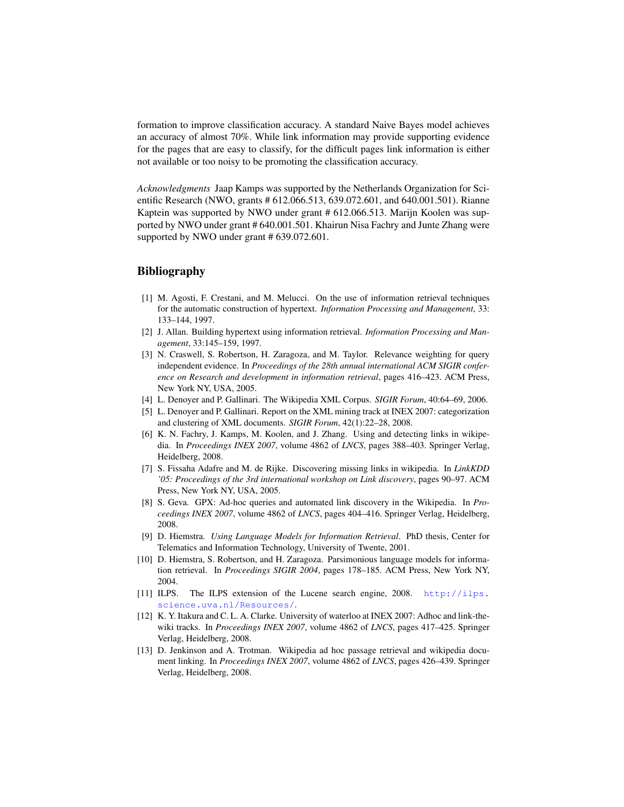formation to improve classification accuracy. A standard Naive Bayes model achieves an accuracy of almost 70%. While link information may provide supporting evidence for the pages that are easy to classify, for the difficult pages link information is either not available or too noisy to be promoting the classification accuracy.

*Acknowledgments* Jaap Kamps was supported by the Netherlands Organization for Scientific Research (NWO, grants # 612.066.513, 639.072.601, and 640.001.501). Rianne Kaptein was supported by NWO under grant # 612.066.513. Marijn Koolen was supported by NWO under grant # 640.001.501. Khairun Nisa Fachry and Junte Zhang were supported by NWO under grant # 639.072.601.

# Bibliography

- <span id="page-24-6"></span>[1] M. Agosti, F. Crestani, and M. Melucci. On the use of information retrieval techniques for the automatic construction of hypertext. *Information Processing and Management*, 33: 133–144, 1997.
- <span id="page-24-7"></span>[2] J. Allan. Building hypertext using information retrieval. *Information Processing and Management*, 33:145–159, 1997.
- <span id="page-24-4"></span>[3] N. Craswell, S. Robertson, H. Zaragoza, and M. Taylor. Relevance weighting for query independent evidence. In *Proceedings of the 28th annual international ACM SIGIR conference on Research and development in information retrieval*, pages 416–423. ACM Press, New York NY, USA, 2005.
- <span id="page-24-0"></span>[4] L. Denoyer and P. Gallinari. The Wikipedia XML Corpus. *SIGIR Forum*, 40:64–69, 2006.
- <span id="page-24-12"></span>[5] L. Denoyer and P. Gallinari. Report on the XML mining track at INEX 2007: categorization and clustering of XML documents. *SIGIR Forum*, 42(1):22–28, 2008.
- <span id="page-24-3"></span>[6] K. N. Fachry, J. Kamps, M. Koolen, and J. Zhang. Using and detecting links in wikipedia. In *Proceedings INEX 2007*, volume 4862 of *LNCS*, pages 388–403. Springer Verlag, Heidelberg, 2008.
- <span id="page-24-8"></span>[7] S. Fissaha Adafre and M. de Rijke. Discovering missing links in wikipedia. In *LinkKDD '05: Proceedings of the 3rd international workshop on Link discovery*, pages 90–97. ACM Press, New York NY, USA, 2005.
- <span id="page-24-9"></span>[8] S. Geva. GPX: Ad-hoc queries and automated link discovery in the Wikipedia. In *Proceedings INEX 2007*, volume 4862 of *LNCS*, pages 404–416. Springer Verlag, Heidelberg, 2008.
- <span id="page-24-2"></span>[9] D. Hiemstra. *Using Language Models for Information Retrieval*. PhD thesis, Center for Telematics and Information Technology, University of Twente, 2001.
- <span id="page-24-5"></span>[10] D. Hiemstra, S. Robertson, and H. Zaragoza. Parsimonious language models for information retrieval. In *Proceedings SIGIR 2004*, pages 178–185. ACM Press, New York NY, 2004.
- <span id="page-24-1"></span>[11] ILPS. The ILPS extension of the Lucene search engine, 2008. [http://ilps.](http://ilps.science.uva.nl/Resources/) [science.uva.nl/Resources/](http://ilps.science.uva.nl/Resources/).
- <span id="page-24-10"></span>[12] K. Y. Itakura and C. L. A. Clarke. University of waterloo at INEX 2007: Adhoc and link-thewiki tracks. In *Proceedings INEX 2007*, volume 4862 of *LNCS*, pages 417–425. Springer Verlag, Heidelberg, 2008.
- <span id="page-24-11"></span>[13] D. Jenkinson and A. Trotman. Wikipedia ad hoc passage retrieval and wikipedia document linking. In *Proceedings INEX 2007*, volume 4862 of *LNCS*, pages 426–439. Springer Verlag, Heidelberg, 2008.